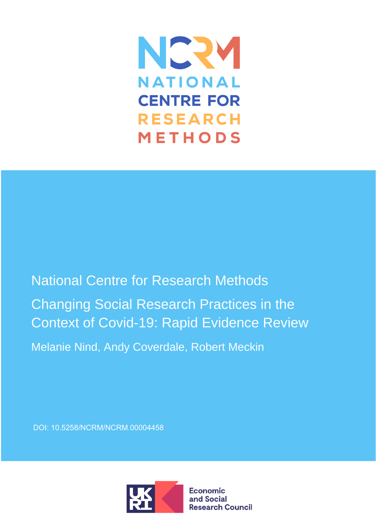

National Centre for Research Methods Changing Social Research Practices in the Context of Covid-19: Rapid Evidence Review

Melanie Nind, Andy Coverdale, Robert Meckin

DOI: [10.5258/NCRM/NCRM.00004458](https://doi.org/10.5258/NCRM%2FNCRM.00004458)

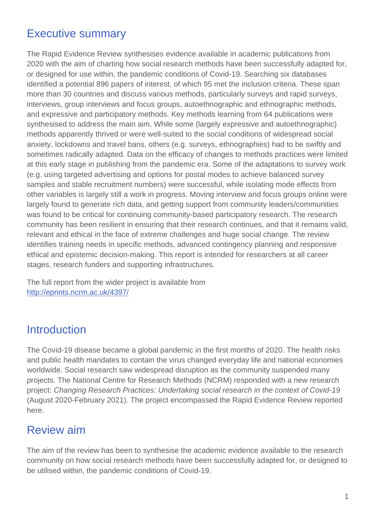# Executive summary

The Rapid Evidence Review synthesises evidence available in academic publications from 2020 with the aim of charting how social research methods have been successfully adapted for, or designed for use within, the pandemic conditions of Covid-19. Searching six databases identified a potential 896 papers of interest, of which 95 met the inclusion criteria. These span more than 30 countries and discuss various methods, particularly surveys and rapid surveys, interviews, group interviews and focus groups, autoethnographic and ethnographic methods, and expressive and participatory methods. Key methods learning from 64 publications were synthesised to address the main aim. While some (largely expressive and autoethnographic) methods apparently thrived or were well-suited to the social conditions of widespread social anxiety, lockdowns and travel bans, others (e.g. surveys, ethnographies) had to be swiftly and sometimes radically adapted. Data on the efficacy of changes to methods practices were limited at this early stage in publishing from the pandemic era. Some of the adaptations to survey work (e.g. using targeted advertising and options for postal modes to achieve balanced survey samples and stable recruitment numbers) were successful, while isolating mode effects from other variables is largely still a work in progress. Moving interview and focus groups online were largely found to generate rich data, and getting support from community leaders/communities was found to be critical for continuing community-based participatory research. The research community has been resilient in ensuring that their research continues, and that it remains valid, relevant and ethical in the face of extreme challenges and huge social change. The review identifies training needs in specific methods, advanced contingency planning and responsive ethical and epistemic decision-making. This report is intended for researchers at all career stages, research funders and supporting infrastructures.

The full report from the wider project is available from <http://eprints.ncrm.ac.uk/4397/>

# **Introduction**

The Covid-19 disease became a global pandemic in the first months of 2020. The health risks and public health mandates to contain the virus changed everyday life and national economies worldwide. Social research saw widespread disruption as the community suspended many projects. The National Centre for Research Methods (NCRM) responded with a new research project: *Changing Research Practices: Undertaking social research in the context of Covid-19* (August 2020-February 2021). The project encompassed the Rapid Evidence Review reported here.

# Review aim

The aim of the review has been to synthesise the academic evidence available to the research community on how social research methods have been successfully adapted for, or designed to be utilised within, the pandemic conditions of Covid-19.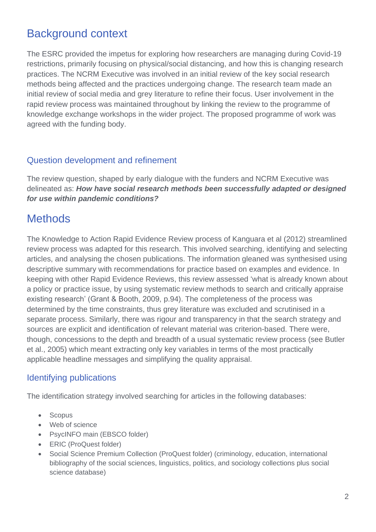# Background context

The ESRC provided the impetus for exploring how researchers are managing during Covid-19 restrictions, primarily focusing on physical/social distancing, and how this is changing research practices. The NCRM Executive was involved in an initial review of the key social research methods being affected and the practices undergoing change. The research team made an initial review of social media and grey literature to refine their focus. User involvement in the rapid review process was maintained throughout by linking the review to the programme of knowledge exchange workshops in the wider project. The proposed programme of work was agreed with the funding body.

### Question development and refinement

The review question, shaped by early dialogue with the funders and NCRM Executive was delineated as: *How have social research methods been successfully adapted or designed for use within pandemic conditions?*

# **Methods**

The Knowledge to Action Rapid Evidence Review process of Kanguara et al (2012) streamlined review process was adapted for this research. This involved searching, identifying and selecting articles, and analysing the chosen publications. The information gleaned was synthesised using descriptive summary with recommendations for practice based on examples and evidence. In keeping with other Rapid Evidence Reviews, this review assessed 'what is already known about a policy or practice issue, by using systematic review methods to search and critically appraise existing research' (Grant & Booth, 2009, p.94). The completeness of the process was determined by the time constraints, thus grey literature was excluded and scrutinised in a separate process. Similarly, there was rigour and transparency in that the search strategy and sources are explicit and identification of relevant material was criterion-based. There were, though, concessions to the depth and breadth of a usual systematic review process (see Butler et al., 2005) which meant extracting only key variables in terms of the most practically applicable headline messages and simplifying the quality appraisal.

### Identifying publications

The identification strategy involved searching for articles in the following databases:

- Scopus
- Web of science
- PsycINFO main (EBSCO folder)
- ERIC (ProQuest folder)
- Social Science Premium Collection (ProQuest folder) (criminology, education, international bibliography of the social sciences, linguistics, politics, and sociology collections plus social science database)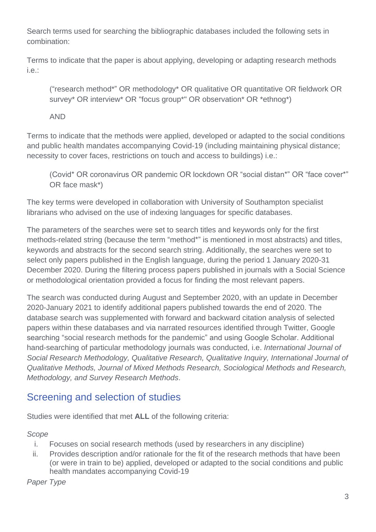Search terms used for searching the bibliographic databases included the following sets in combination:

Terms to indicate that the paper is about applying, developing or adapting research methods i.e.:

("research method\*" OR methodology\* OR qualitative OR quantitative OR fieldwork OR survey\* OR interview\* OR "focus group\*" OR observation\* OR \*ethnog\*)

AND

Terms to indicate that the methods were applied, developed or adapted to the social conditions and public health mandates accompanying Covid-19 (including maintaining physical distance; necessity to cover faces, restrictions on touch and access to buildings) i.e.:

(Covid\* OR coronavirus OR pandemic OR lockdown OR "social distan\*" OR "face cover\*" OR face mask\*)

The key terms were developed in collaboration with University of Southampton specialist librarians who advised on the use of indexing languages for specific databases.

The parameters of the searches were set to search titles and keywords only for the first methods-related string (because the term "method\*" is mentioned in most abstracts) and titles, keywords and abstracts for the second search string. Additionally, the searches were set to select only papers published in the English language, during the period 1 January 2020-31 December 2020. During the filtering process papers published in journals with a Social Science or methodological orientation provided a focus for finding the most relevant papers.

The search was conducted during August and September 2020, with an update in December 2020-January 2021 to identify additional papers published towards the end of 2020. The database search was supplemented with forward and backward citation analysis of selected papers within these databases and via narrated resources identified through Twitter, Google searching "social research methods for the pandemic" and using Google Scholar. Additional hand-searching of particular methodology journals was conducted, i.e. *International Journal of Social Research Methodology, Qualitative Research, Qualitative Inquiry, International Journal of Qualitative Methods, Journal of Mixed Methods Research, Sociological Methods and Research, Methodology, and Survey Research Methods*.

## Screening and selection of studies

Studies were identified that met **ALL** of the following criteria:

*Scope*

- i. Focuses on social research methods (used by researchers in any discipline)
- ii. Provides description and/or rationale for the fit of the research methods that have been (or were in train to be) applied, developed or adapted to the social conditions and public health mandates accompanying Covid-19

*Paper Type*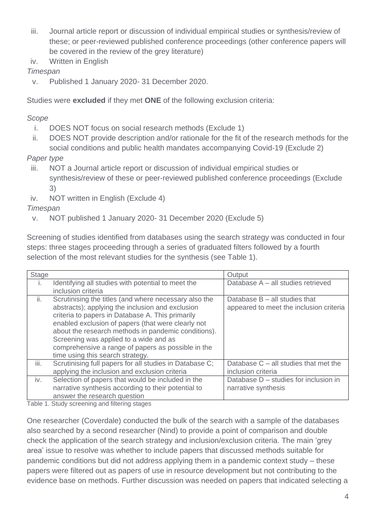- iii. Journal article report or discussion of individual empirical studies or synthesis/review of these; or peer-reviewed published conference proceedings (other conference papers will be covered in the review of the grey literature)
- iv. Written in English

### *Timespan*

v. Published 1 January 2020- 31 December 2020.

Studies were **excluded** if they met **ONE** of the following exclusion criteria:

### *Scope*

- i. DOES NOT focus on social research methods (Exclude 1)
- ii. DOES NOT provide description and/or rationale for the fit of the research methods for the social conditions and public health mandates accompanying Covid-19 (Exclude 2)

### *Paper type*

- iii. NOT a Journal article report or discussion of individual empirical studies or synthesis/review of these or peer-reviewed published conference proceedings (Exclude 3)
- iv. NOT written in English (Exclude 4)

### *Timespan*

v. NOT published 1 January 2020- 31 December 2020 (Exclude 5)

Screening of studies identified from databases using the search strategy was conducted in four steps: three stages proceeding through a series of graduated filters followed by a fourth selection of the most relevant studies for the synthesis (see Table 1).

| Stage        |                                                         | Output                                  |
|--------------|---------------------------------------------------------|-----------------------------------------|
| $\mathbf{L}$ | Identifying all studies with potential to meet the      | Database A - all studies retrieved      |
|              | inclusion criteria                                      |                                         |
| ii.          | Scrutinising the titles (and where necessary also the   | Database $B - all$ studies that         |
|              | abstracts); applying the inclusion and exclusion        | appeared to meet the inclusion criteria |
|              | criteria to papers in Database A. This primarily        |                                         |
|              | enabled exclusion of papers (that were clearly not      |                                         |
|              | about the research methods in pandemic conditions).     |                                         |
|              | Screening was applied to a wide and as                  |                                         |
|              | comprehensive a range of papers as possible in the      |                                         |
|              | time using this search strategy.                        |                                         |
| iii.         | Scrutinising full papers for all studies in Database C; | Database $C -$ all studies that met the |
|              | applying the inclusion and exclusion criteria           | inclusion criteria                      |
| iv.          | Selection of papers that would be included in the       | Database D - studies for inclusion in   |
|              | narrative synthesis according to their potential to     | narrative synthesis                     |
|              | answer the research question                            |                                         |

Table 1. Study screening and filtering stages

One researcher (Coverdale) conducted the bulk of the search with a sample of the databases also searched by a second researcher (Nind) to provide a point of comparison and double check the application of the search strategy and inclusion/exclusion criteria. The main 'grey area' issue to resolve was whether to include papers that discussed methods suitable for pandemic conditions but did not address applying them in a pandemic context study – these papers were filtered out as papers of use in resource development but not contributing to the evidence base on methods. Further discussion was needed on papers that indicated selecting a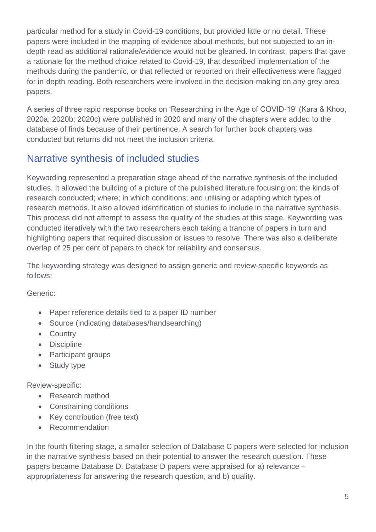particular method for a study in Covid-19 conditions, but provided little or no detail. These papers were included in the mapping of evidence about methods, but not subjected to an indepth read as additional rationale/evidence would not be gleaned. In contrast, papers that gave a rationale for the method choice related to Covid-19, that described implementation of the methods during the pandemic, or that reflected or reported on their effectiveness were flagged for in-depth reading. Both researchers were involved in the decision-making on any grey area papers.

A series of three rapid response books on 'Researching in the Age of COVID-19' (Kara & Khoo, 2020a; 2020b; 2020c) were published in 2020 and many of the chapters were added to the database of finds because of their pertinence. A search for further book chapters was conducted but returns did not meet the inclusion criteria.

## Narrative synthesis of included studies

Keywording represented a preparation stage ahead of the narrative synthesis of the included studies. It allowed the building of a picture of the published literature focusing on: the kinds of research conducted; where; in which conditions; and utilising or adapting which types of research methods. It also allowed identification of studies to include in the narrative synthesis. This process did not attempt to assess the quality of the studies at this stage. Keywording was conducted iteratively with the two researchers each taking a tranche of papers in turn and highlighting papers that required discussion or issues to resolve. There was also a deliberate overlap of 25 per cent of papers to check for reliability and consensus.

The keywording strategy was designed to assign generic and review-specific keywords as follows:

Generic:

- Paper reference details tied to a paper ID number
- Source (indicating databases/handsearching)
- Country
- Discipline
- Participant groups
- Study type

Review-specific:

- Research method
- Constraining conditions
- Key contribution (free text)
- Recommendation

In the fourth filtering stage, a smaller selection of Database C papers were selected for inclusion in the narrative synthesis based on their potential to answer the research question. These papers became Database D. Database D papers were appraised for a) relevance – appropriateness for answering the research question, and b) quality.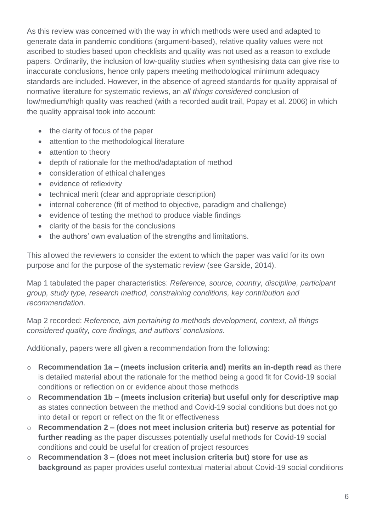As this review was concerned with the way in which methods were used and adapted to generate data in pandemic conditions (argument-based), relative quality values were not ascribed to studies based upon checklists and quality was not used as a reason to exclude papers. Ordinarily, the inclusion of low-quality studies when synthesising data can give rise to inaccurate conclusions, hence only papers meeting methodological minimum adequacy standards are included. However, in the absence of agreed standards for quality appraisal of normative literature for systematic reviews, an *all things considered* conclusion of low/medium/high quality was reached (with a recorded audit trail, Popay et al. 2006) in which the quality appraisal took into account:

- the clarity of focus of the paper
- attention to the methodological literature
- attention to theory
- depth of rationale for the method/adaptation of method
- consideration of ethical challenges
- evidence of reflexivity
- technical merit (clear and appropriate description)
- internal coherence (fit of method to objective, paradigm and challenge)
- evidence of testing the method to produce viable findings
- clarity of the basis for the conclusions
- the authors' own evaluation of the strengths and limitations.

This allowed the reviewers to consider the extent to which the paper was valid for its own purpose and for the purpose of the systematic review (see Garside, 2014).

Map 1 tabulated the paper characteristics: *Reference, source, country, discipline, participant group, study type, research method, constraining conditions, key contribution and recommendation*.

Map 2 recorded: *Reference, aim pertaining to methods development, context, all things considered quality, core findings, and authors' conclusions*.

Additionally, papers were all given a recommendation from the following:

- o **Recommendation 1a – (meets inclusion criteria and) merits an in-depth read** as there is detailed material about the rationale for the method being a good fit for Covid-19 social conditions or reflection on or evidence about those methods
- o **Recommendation 1b – (meets inclusion criteria) but useful only for descriptive map** as states connection between the method and Covid-19 social conditions but does not go into detail or report or reflect on the fit or effectiveness
- o **Recommendation 2 – (does not meet inclusion criteria but) reserve as potential for further reading** as the paper discusses potentially useful methods for Covid-19 social conditions and could be useful for creation of project resources
- o **Recommendation 3 – (does not meet inclusion criteria but) store for use as background** as paper provides useful contextual material about Covid-19 social conditions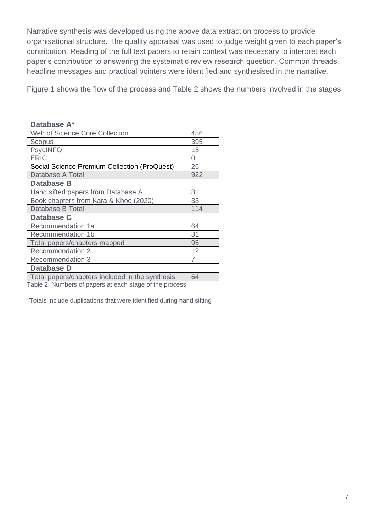Narrative synthesis was developed using the above data extraction process to provide organisational structure. The quality appraisal was used to judge weight given to each paper's contribution. Reading of the full text papers to retain context was necessary to interpret each paper's contribution to answering the systematic review research question. Common threads, headline messages and practical pointers were identified and synthesised in the narrative.

Figure 1 shows the flow of the process and Table 2 shows the numbers involved in the stages.

| Database A*                                     |                |
|-------------------------------------------------|----------------|
| Web of Science Core Collection                  | 486            |
| Scopus                                          | 395            |
| <b>PsycINFO</b>                                 | 15             |
| <b>ERIC</b>                                     | 0              |
| Social Science Premium Collection (ProQuest)    | 26             |
| Database A Total                                | 922            |
| <b>Database B</b>                               |                |
| Hand sifted papers from Database A              | 81             |
| Book chapters from Kara & Khoo (2020)           | 33             |
| Database B Total                                | 114            |
| Database C                                      |                |
| Recommendation 1a                               | 64             |
| Recommendation 1b                               | 31             |
| Total papers/chapters mapped                    | 95             |
| Recommendation 2                                | 12             |
| <b>Recommendation 3</b>                         | $\overline{7}$ |
| Database D                                      |                |
| Total papers/chapters included in the synthesis | 64             |
|                                                 |                |

Table 2: Numbers of papers at each stage of the process

\*Totals include duplications that were identified during hand sifting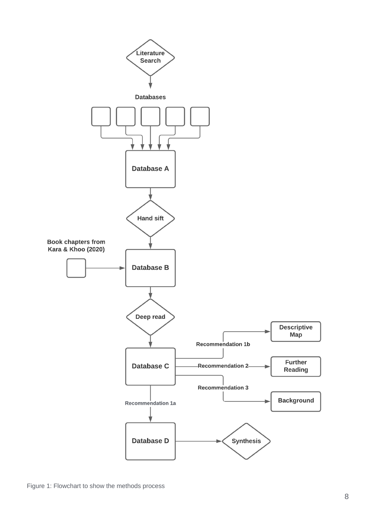

Figure 1: Flowchart to show the methods process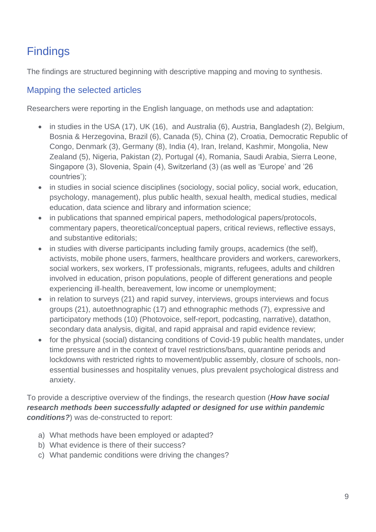# **Findings**

The findings are structured beginning with descriptive mapping and moving to synthesis.

### Mapping the selected articles

Researchers were reporting in the English language, on methods use and adaptation:

- in studies in the USA (17), UK (16), and Australia (6), Austria, Bangladesh (2), Belgium, Bosnia & Herzegovina, Brazil (6), Canada (5), China (2), Croatia, Democratic Republic of Congo, Denmark (3), Germany (8), India (4), Iran, Ireland, Kashmir, Mongolia, New Zealand (5), Nigeria, Pakistan (2), Portugal (4), Romania, Saudi Arabia, Sierra Leone, Singapore (3), Slovenia, Spain (4), Switzerland (3) (as well as 'Europe' and '26 countries');
- in studies in social science disciplines (sociology, social policy, social work, education, psychology, management), plus public health, sexual health, medical studies, medical education, data science and library and information science;
- in publications that spanned empirical papers, methodological papers/protocols, commentary papers, theoretical/conceptual papers, critical reviews, reflective essays, and substantive editorials;
- in studies with diverse participants including family groups, academics (the self), activists, mobile phone users, farmers, healthcare providers and workers, careworkers, social workers, sex workers, IT professionals, migrants, refugees, adults and children involved in education, prison populations, people of different generations and people experiencing ill-health, bereavement, low income or unemployment;
- in relation to surveys (21) and rapid survey, interviews, groups interviews and focus groups (21), autoethnographic (17) and ethnographic methods (7), expressive and participatory methods (10) (Photovoice, self-report, podcasting, narrative), datathon, secondary data analysis, digital, and rapid appraisal and rapid evidence review;
- for the physical (social) distancing conditions of Covid-19 public health mandates, under time pressure and in the context of travel restrictions/bans, quarantine periods and lockdowns with restricted rights to movement/public assembly, closure of schools, nonessential businesses and hospitality venues, plus prevalent psychological distress and anxiety.

To provide a descriptive overview of the findings, the research question (*How have social research methods been successfully adapted or designed for use within pandemic conditions?*) was de-constructed to report:

- a) What methods have been employed or adapted?
- b) What evidence is there of their success?
- c) What pandemic conditions were driving the changes?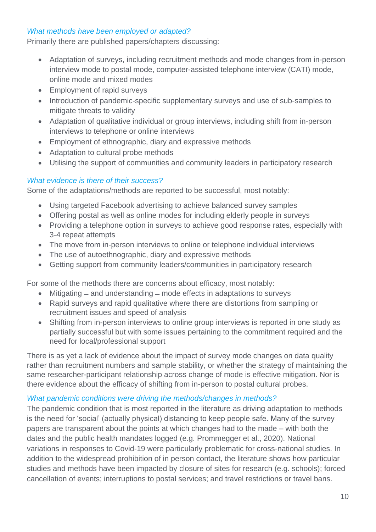### *What methods have been employed or adapted?*

Primarily there are published papers/chapters discussing:

- Adaptation of surveys, including recruitment methods and mode changes from in-person interview mode to postal mode, computer-assisted telephone interview (CATI) mode, online mode and mixed modes
- Employment of rapid surveys
- Introduction of pandemic-specific supplementary surveys and use of sub-samples to mitigate threats to validity
- Adaptation of qualitative individual or group interviews, including shift from in-person interviews to telephone or online interviews
- Employment of ethnographic, diary and expressive methods
- Adaptation to cultural probe methods
- Utilising the support of communities and community leaders in participatory research

### *What evidence is there of their success?*

Some of the adaptations/methods are reported to be successful, most notably:

- Using targeted Facebook advertising to achieve balanced survey samples
- Offering postal as well as online modes for including elderly people in surveys
- Providing a telephone option in surveys to achieve good response rates, especially with 3-4 repeat attempts
- The move from in-person interviews to online or telephone individual interviews
- The use of autoethnographic, diary and expressive methods
- Getting support from community leaders/communities in participatory research

For some of the methods there are concerns about efficacy, most notably:

- Mitigating and understanding mode effects in adaptations to surveys
- Rapid surveys and rapid qualitative where there are distortions from sampling or recruitment issues and speed of analysis
- Shifting from in-person interviews to online group interviews is reported in one study as partially successful but with some issues pertaining to the commitment required and the need for local/professional support

There is as yet a lack of evidence about the impact of survey mode changes on data quality rather than recruitment numbers and sample stability, or whether the strategy of maintaining the same researcher-participant relationship across change of mode is effective mitigation. Nor is there evidence about the efficacy of shifting from in-person to postal cultural probes.

### *What pandemic conditions were driving the methods/changes in methods?*

The pandemic condition that is most reported in the literature as driving adaptation to methods is the need for 'social' (actually physical) distancing to keep people safe. Many of the survey papers are transparent about the points at which changes had to the made – with both the dates and the public health mandates logged (e.g. Prommegger et al., 2020). National variations in responses to Covid-19 were particularly problematic for cross-national studies. In addition to the widespread prohibition of in person contact, the literature shows how particular studies and methods have been impacted by closure of sites for research (e.g. schools); forced cancellation of events; interruptions to postal services; and travel restrictions or travel bans.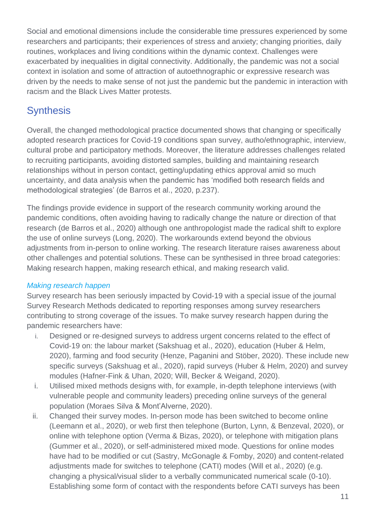Social and emotional dimensions include the considerable time pressures experienced by some researchers and participants; their experiences of stress and anxiety; changing priorities, daily routines, workplaces and living conditions within the dynamic context. Challenges were exacerbated by inequalities in digital connectivity. Additionally, the pandemic was not a social context in isolation and some of attraction of autoethnographic or expressive research was driven by the needs to make sense of not just the pandemic but the pandemic in interaction with racism and the Black Lives Matter protests.

## **Synthesis**

Overall, the changed methodological practice documented shows that changing or specifically adopted research practices for Covid-19 conditions span survey, autho/ethnographic, interview, cultural probe and participatory methods. Moreover, the literature addresses challenges related to recruiting participants, avoiding distorted samples, building and maintaining research relationships without in person contact, getting/updating ethics approval amid so much uncertainty, and data analysis when the pandemic has 'modified both research fields and methodological strategies' (de Barros et al., 2020, p.237).

The findings provide evidence in support of the research community working around the pandemic conditions, often avoiding having to radically change the nature or direction of that research (de Barros et al., 2020) although one anthropologist made the radical shift to explore the use of online surveys (Long, 2020). The workarounds extend beyond the obvious adjustments from in-person to online working. The research literature raises awareness about other challenges and potential solutions. These can be synthesised in three broad categories: Making research happen, making research ethical, and making research valid.

### *Making research happen*

Survey research has been seriously impacted by Covid-19 with a special issue of the journal Survey Research Methods dedicated to reporting responses among survey researchers contributing to strong coverage of the issues. To make survey research happen during the pandemic researchers have:

- i. Designed or re-designed surveys to address urgent concerns related to the effect of Covid-19 on: the labour market (Sakshuag et al., 2020), education (Huber & Helm, 2020), farming and food security (Henze, Paganini and Stöber, 2020). These include new specific surveys (Sakshuag et al., 2020), rapid surveys (Huber & Helm, 2020) and survey modules (Hafner-Fink & Uhan, 2020; Will, Becker & Weigand, 2020).
- i. Utilised mixed methods designs with, for example, in-depth telephone interviews (with vulnerable people and community leaders) preceding online surveys of the general population (Moraes Silva & Mont'Alverne, 2020).
- ii. Changed their survey modes. In-person mode has been switched to become online (Leemann et al., 2020), or web first then telephone (Burton, Lynn, & Benzeval, 2020), or online with telephone option (Verma & Bizas, 2020), or telephone with mitigation plans (Gummer et al., 2020), or self-administered mixed mode. Questions for online modes have had to be modified or cut (Sastry, McGonagle & Fomby, 2020) and content-related adjustments made for switches to telephone (CATI) modes (Will et al., 2020) (e.g. changing a physical/visual slider to a verbally communicated numerical scale (0-10). Establishing some form of contact with the respondents before CATI surveys has been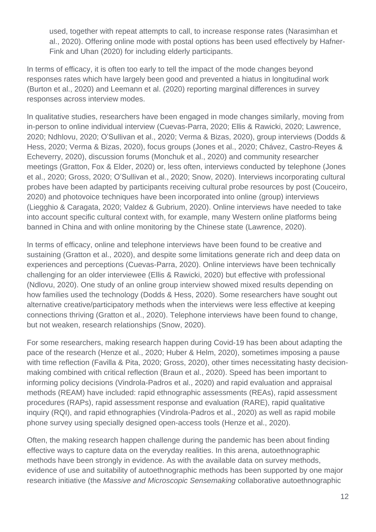used, together with repeat attempts to call, to increase response rates (Narasimhan et al., 2020). Offering online mode with postal options has been used effectively by Hafner-Fink and Uhan (2020) for including elderly participants.

In terms of efficacy, it is often too early to tell the impact of the mode changes beyond responses rates which have largely been good and prevented a hiatus in longitudinal work (Burton et al., 2020) and Leemann et al. (2020) reporting marginal differences in survey responses across interview modes.

In qualitative studies, researchers have been engaged in mode changes similarly, moving from in-person to online individual interview (Cuevas-Parra, 2020; Ellis & Rawicki, 2020; Lawrence, 2020; Ndhlovu, 2020; O'Sullivan et al., 2020; Verma & Bizas, 2020), group interviews (Dodds & Hess, 2020; Verma & Bizas, 2020), focus groups (Jones et al., 2020; Chávez, Castro-Reyes & Echeverry, 2020), discussion forums (Monchuk et al., 2020) and community researcher meetings (Gratton, Fox & Elder, 2020) or, less often, interviews conducted by telephone (Jones et al., 2020; Gross, 2020; O'Sullivan et al., 2020; Snow, 2020). Interviews incorporating cultural probes have been adapted by participants receiving cultural probe resources by post (Couceiro, 2020) and photovoice techniques have been incorporated into online (group) interviews (Liegghio & Caragata, 2020; Valdez & Gubrium, 2020). Online interviews have needed to take into account specific cultural context with, for example, many Western online platforms being banned in China and with online monitoring by the Chinese state (Lawrence, 2020).

In terms of efficacy, online and telephone interviews have been found to be creative and sustaining (Gratton et al., 2020), and despite some limitations generate rich and deep data on experiences and perceptions (Cuevas-Parra, 2020). Online interviews have been technically challenging for an older interviewee (Ellis & Rawicki, 2020) but effective with professional (Ndlovu, 2020). One study of an online group interview showed mixed results depending on how families used the technology (Dodds & Hess, 2020). Some researchers have sought out alternative creative/participatory methods when the interviews were less effective at keeping connections thriving (Gratton et al., 2020). Telephone interviews have been found to change, but not weaken, research relationships (Snow, 2020).

For some researchers, making research happen during Covid-19 has been about adapting the pace of the research (Henze et al., 2020; Huber & Helm, 2020), sometimes imposing a pause with time reflection (Favilla & Pita, 2020; Gross, 2020), other times necessitating hasty decisionmaking combined with critical reflection (Braun et al., 2020). Speed has been important to informing policy decisions (Vindrola-Padros et al., 2020) and rapid evaluation and appraisal methods (REAM) have included: rapid ethnographic assessments (REAs), rapid assessment procedures (RAPs), rapid assessment response and evaluation (RARE), rapid qualitative inquiry (RQI), and rapid ethnographies (Vindrola-Padros et al., 2020) as well as rapid mobile phone survey using specially designed open-access tools (Henze et al., 2020).

Often, the making research happen challenge during the pandemic has been about finding effective ways to capture data on the everyday realities. In this arena, autoethnographic methods have been strongly in evidence. As with the available data on survey methods, evidence of use and suitability of autoethnographic methods has been supported by one major research initiative (the *Massive and Microscopic Sensemaking* collaborative autoethnographic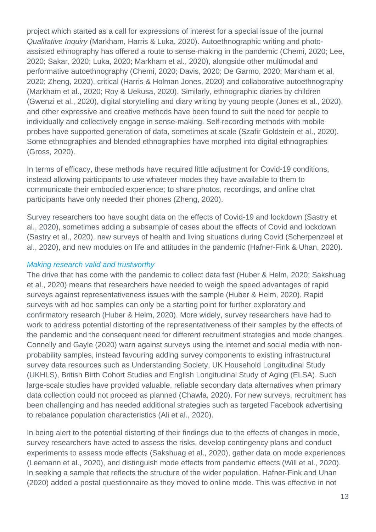project which started as a call for expressions of interest for a special issue of the journal *Qualitative Inquiry* (Markham, Harris & Luka, 2020). Autoethnographic writing and photoassisted ethnography has offered a route to sense-making in the pandemic (Chemi, 2020; Lee, 2020; Sakar, 2020; Luka, 2020; Markham et al., 2020), alongside other multimodal and performative autoethnography (Chemi, 2020; Davis, 2020; De Garmo, 2020; Markham et al, 2020; Zheng, 2020), critical (Harris & Holman Jones, 2020) and collaborative autoethnography (Markham et al., 2020; Roy & Uekusa, 2020). Similarly, ethnographic diaries by children (Gwenzi et al., 2020), digital storytelling and diary writing by young people (Jones et al., 2020), and other expressive and creative methods have been found to suit the need for people to individually and collectively engage in sense-making. Self-recording methods with mobile probes have supported generation of data, sometimes at scale (Szafir Goldstein et al., 2020). Some ethnographies and blended ethnographies have morphed into digital ethnographies (Gross, 2020).

In terms of efficacy, these methods have required little adjustment for Covid-19 conditions, instead allowing participants to use whatever modes they have available to them to communicate their embodied experience; to share photos, recordings, and online chat participants have only needed their phones (Zheng, 2020).

Survey researchers too have sought data on the effects of Covid-19 and lockdown (Sastry et al., 2020), sometimes adding a subsample of cases about the effects of Covid and lockdown (Sastry et al., 2020), new surveys of health and living situations during Covid (Scherpenzeel et al., 2020), and new modules on life and attitudes in the pandemic (Hafner-Fink & Uhan, 2020).

### *Making research valid and trustworthy*

The drive that has come with the pandemic to collect data fast (Huber & Helm, 2020; Sakshuag et al., 2020) means that researchers have needed to weigh the speed advantages of rapid surveys against representativeness issues with the sample (Huber & Helm, 2020). Rapid surveys with ad hoc samples can only be a starting point for further exploratory and confirmatory research (Huber & Helm, 2020). More widely, survey researchers have had to work to address potential distorting of the representativeness of their samples by the effects of the pandemic and the consequent need for different recruitment strategies and mode changes. Connelly and Gayle (2020) warn against surveys using the internet and social media with nonprobability samples, instead favouring adding survey components to existing infrastructural survey data resources such as Understanding Society, UK Household Longitudinal Study (UKHLS), British Birth Cohort Studies and English Longitudinal Study of Aging (ELSA). Such large-scale studies have provided valuable, reliable secondary data alternatives when primary data collection could not proceed as planned (Chawla, 2020). For new surveys, recruitment has been challenging and has needed additional strategies such as targeted Facebook advertising to rebalance population characteristics (Ali et al., 2020).

In being alert to the potential distorting of their findings due to the effects of changes in mode, survey researchers have acted to assess the risks, develop contingency plans and conduct experiments to assess mode effects (Sakshuag et al., 2020), gather data on mode experiences (Leemann et al., 2020), and distinguish mode effects from pandemic effects (Will et al., 2020). In seeking a sample that reflects the structure of the wider population, Hafner-Fink and Uhan (2020) added a postal questionnaire as they moved to online mode. This was effective in not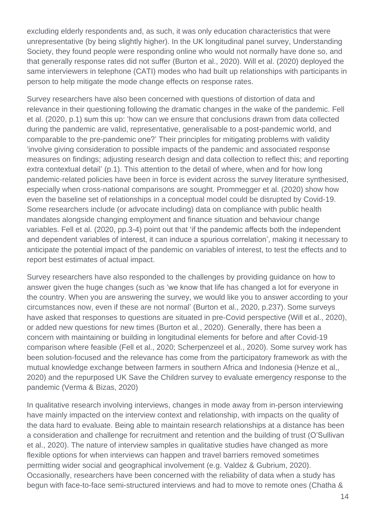excluding elderly respondents and, as such, it was only education characteristics that were unrepresentative (by being slightly higher). In the UK longitudinal panel survey, Understanding Society, they found people were responding online who would not normally have done so, and that generally response rates did not suffer (Burton et al., 2020). Will et al. (2020) deployed the same interviewers in telephone (CATI) modes who had built up relationships with participants in person to help mitigate the mode change effects on response rates.

Survey researchers have also been concerned with questions of distortion of data and relevance in their questioning following the dramatic changes in the wake of the pandemic. Fell et al. (2020, p.1) sum this up: 'how can we ensure that conclusions drawn from data collected during the pandemic are valid, representative, generalisable to a post-pandemic world, and comparable to the pre-pandemic one?' Their principles for mitigating problems with validity 'involve giving consideration to possible impacts of the pandemic and associated response measures on findings; adjusting research design and data collection to reflect this; and reporting extra contextual detail' (p.1). This attention to the detail of where, when and for how long pandemic-related policies have been in force is evident across the survey literature synthesised, especially when cross-national comparisons are sought. Prommegger et al. (2020) show how even the baseline set of relationships in a conceptual model could be disrupted by Covid-19. Some researchers include (or advocate including) data on compliance with public health mandates alongside changing employment and finance situation and behaviour change variables. Fell et al. (2020, pp.3-4) point out that 'if the pandemic affects both the independent and dependent variables of interest, it can induce a spurious correlation', making it necessary to anticipate the potential impact of the pandemic on variables of interest, to test the effects and to report best estimates of actual impact.

Survey researchers have also responded to the challenges by providing guidance on how to answer given the huge changes (such as 'we know that life has changed a lot for everyone in the country. When you are answering the survey, we would like you to answer according to your circumstances now, even if these are not normal' (Burton et al., 2020, p.237). Some surveys have asked that responses to questions are situated in pre-Covid perspective (Will et al., 2020), or added new questions for new times (Burton et al., 2020). Generally, there has been a concern with maintaining or building in longitudinal elements for before and after Covid-19 comparison where feasible (Fell et al., 2020; Scherpenzeel et al., 2020). Some survey work has been solution-focused and the relevance has come from the participatory framework as with the mutual knowledge exchange between farmers in southern Africa and Indonesia (Henze et al,, 2020) and the repurposed UK Save the Children survey to evaluate emergency response to the pandemic (Verma & Bizas, 2020)

In qualitative research involving interviews, changes in mode away from in-person interviewing have mainly impacted on the interview context and relationship, with impacts on the quality of the data hard to evaluate. Being able to maintain research relationships at a distance has been a consideration and challenge for recruitment and retention and the building of trust (O'Sullivan et al., 2020). The nature of interview samples in qualitative studies have changed as more flexible options for when interviews can happen and travel barriers removed sometimes permitting wider social and geographical involvement (e.g. Valdez & Gubrium, 2020). Occasionally, researchers have been concerned with the reliability of data when a study has begun with face-to-face semi-structured interviews and had to move to remote ones (Chatha &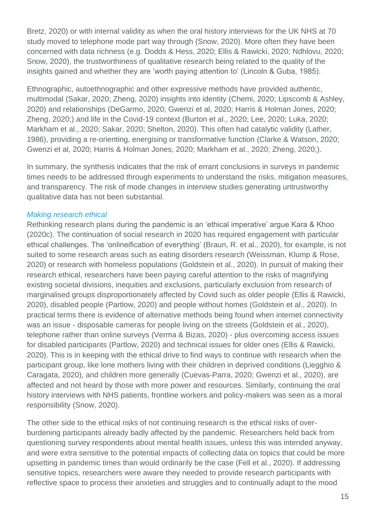Bretz, 2020) or with internal validity as when the oral history interviews for the UK NHS at 70 study moved to telephone mode part way through (Snow, 2020). More often they have been concerned with data richness (e.g. Dodds & Hess, 2020; Ellis & Rawicki, 2020; Ndhlovu, 2020; Snow, 2020), the trustworthiness of qualitative research being related to the quality of the insights gained and whether they are 'worth paying attention to' (Lincoln & Guba, 1985).

Ethnographic, autoethnographic and other expressive methods have provided authentic, multimodal (Sakar, 2020; Zheng, 2020) insights into identity (Chemi, 2020; Lipscomb & Ashley, 2020) and relationships (DeGarmo, 2020; Gwenzi et al, 2020; Harris & Holman Jones, 2020; Zheng, 2020;) and life in the Covid-19 context (Burton et al., 2020; Lee, 2020; Luka, 2020; Markham et al., 2020; Sakar, 2020; Shelton, 2020). This often had catalytic validity (Lather, 1986), providing a re-orienting, energising or transformative function (Clarke & Watson, 2020; Gwenzi et al, 2020; Harris & Holman Jones, 2020; Markham et al., 2020; Zheng, 2020;).

In summary, the synthesis indicates that the risk of errant conclusions in surveys in pandemic times needs to be addressed through experiments to understand the risks, mitigation measures, and transparency. The risk of mode changes in interview studies generating untrustworthy qualitative data has not been substantial.

### *Making research ethical*

Rethinking research plans during the pandemic is an 'ethical imperative' argue Kara & Khoo (2020c). The continuation of social research in 2020 has required engagement with particular ethical challenges. The 'onlineification of everything' (Braun, R. et al., 2020), for example, is not suited to some research areas such as eating disorders research (Weissman, Klump & Rose, 2020) or research with homeless populations (Goldstein et al., 2020). In pursuit of making their research ethical, researchers have been paying careful attention to the risks of magnifying existing societal divisions, inequities and exclusions, particularly exclusion from research of marginalised groups disproportionately affected by Covid such as older people (Ellis & Rawicki, 2020), disabled people (Partlow, 2020) and people without homes (Goldstein et al., 2020). In practical terms there is evidence of alternative methods being found when internet connectivity was an issue - disposable cameras for people living on the streets (Goldstein et al., 2020), telephone rather than online surveys (Verma & Bizas, 2020) - plus overcoming access issues for disabled participants (Partlow, 2020) and technical issues for older ones (Ellis & Rawicki, 2020). This is in keeping with the ethical drive to find ways to continue with research when the participant group, like lone mothers living with their children in deprived conditions (Liegghio & Caragata, 2020), and children more generally (Cuevas-Parra, 2020; Gwenzi et al., 2020), are affected and not heard by those with more power and resources. Similarly, continuing the oral history interviews with NHS patients, frontline workers and policy-makers was seen as a moral responsibility (Snow, 2020).

The other side to the ethical risks of not continuing research is the ethical risks of overburdening participants already badly affected by the pandemic. Researchers held back from questioning survey respondents about mental health issues, unless this was intended anyway, and were extra sensitive to the potential impacts of collecting data on topics that could be more upsetting in pandemic times than would ordinarily be the case (Fell et al., 2020). If addressing sensitive topics, researchers were aware they needed to provide research participants with reflective space to process their anxieties and struggles and to continually adapt to the mood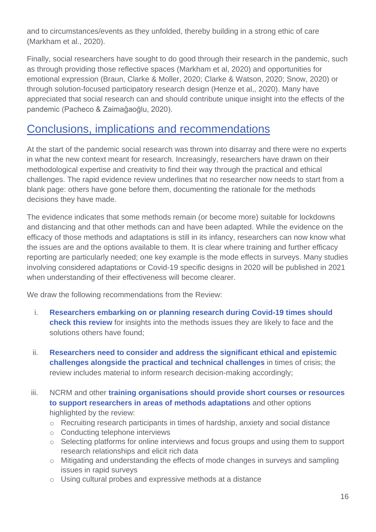and to circumstances/events as they unfolded, thereby building in a strong ethic of care (Markham et al., 2020).

Finally, social researchers have sought to do good through their research in the pandemic, such as through providing those reflective spaces (Markham et al, 2020) and opportunities for emotional expression (Braun, Clarke & Moller, 2020; Clarke & Watson, 2020; Snow, 2020) or through solution-focused participatory research design (Henze et al,, 2020). Many have appreciated that social research can and should contribute unique insight into the effects of the pandemic (Pacheco & Zaimağaoğlu, 2020).

## Conclusions, implications and recommendations

At the start of the pandemic social research was thrown into disarray and there were no experts in what the new context meant for research. Increasingly, researchers have drawn on their methodological expertise and creativity to find their way through the practical and ethical challenges. The rapid evidence review underlines that no researcher now needs to start from a blank page: others have gone before them, documenting the rationale for the methods decisions they have made.

The evidence indicates that some methods remain (or become more) suitable for lockdowns and distancing and that other methods can and have been adapted. While the evidence on the efficacy of those methods and adaptations is still in its infancy, researchers can now know what the issues are and the options available to them. It is clear where training and further efficacy reporting are particularly needed; one key example is the mode effects in surveys. Many studies involving considered adaptations or Covid-19 specific designs in 2020 will be published in 2021 when understanding of their effectiveness will become clearer.

We draw the following recommendations from the Review:

- i. **Researchers embarking on or planning research during Covid-19 times should check this review** for insights into the methods issues they are likely to face and the solutions others have found;
- ii. **Researchers need to consider and address the significant ethical and epistemic challenges alongside the practical and technical challenges** in times of crisis; the review includes material to inform research decision-making accordingly;
- iii. NCRM and other **training organisations should provide short courses or resources to support researchers in areas of methods adaptations** and other options highlighted by the review:
	- o Recruiting research participants in times of hardship, anxiety and social distance
	- o Conducting telephone interviews
	- o Selecting platforms for online interviews and focus groups and using them to support research relationships and elicit rich data
	- o Mitigating and understanding the effects of mode changes in surveys and sampling issues in rapid surveys
	- o Using cultural probes and expressive methods at a distance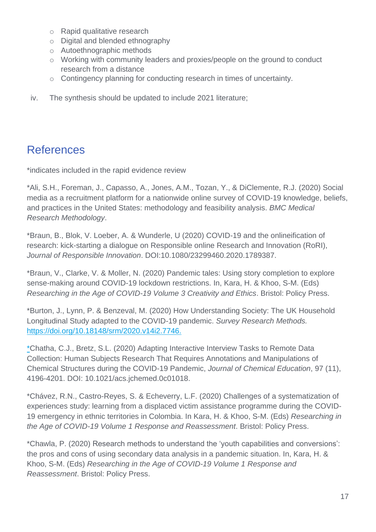- o Rapid qualitative research
- o Digital and blended ethnography
- o Autoethnographic methods
- o Working with community leaders and proxies/people on the ground to conduct research from a distance
- o Contingency planning for conducting research in times of uncertainty.
- iv. The synthesis should be updated to include 2021 literature;

## References

\*indicates included in the rapid evidence review

\*Ali, S.H., Foreman, J., Capasso, A., Jones, A.M., Tozan, Y., & DiClemente, R.J. (2020) Social media as a recruitment platform for a nationwide online survey of COVID-19 knowledge, beliefs, and practices in the United States: methodology and feasibility analysis. *BMC Medical Research Methodology*.

\*Braun, B., Blok, V. Loeber, A. & Wunderle, U (2020) COVID-19 and the onlineification of research: kick-starting a dialogue on Responsible online Research and Innovation (RoRI), *Journal of Responsible Innovation*. DOI:10.1080/23299460.2020.1789387.

\*Braun, V., Clarke, V. & Moller, N. (2020) Pandemic tales: Using story completion to explore sense-making around COVID-19 lockdown restrictions. In, Kara, H. & Khoo, S-M. (Eds) *Researching in the Age of COVID-19 Volume 3 Creativity and Ethics*. Bristol: Policy Press.

\*Burton, J., Lynn, P. & Benzeval, M. (2020) How Understanding Society: The UK Household Longitudinal Study adapted to the COVID-19 pandemic. *Survey Research Methods.* [https://doi.org/10.18148/srm/2020.v14i2.7746.](https://doi.org/10.18148/srm/2020.v14i2.7746)

\*Chatha, C.J., Bretz, S.L. (2020) Adapting Interactive Interview Tasks to Remote Data Collection: Human Subjects Research That Requires Annotations and Manipulations of Chemical Structures during the COVID-19 Pandemic, *Journal of Chemical Education*, 97 (11), 4196-4201. DOI: 10.1021/acs.jchemed.0c01018.

\*Chávez, R.N., Castro-Reyes, S. & Echeverry, L.F. (2020) [Challenges of a systematization of](http://localhost:5001/html/toc-001.xhtml#tocbook-part-015) [experiences study: learning from a displaced victim assistance programme during the COVID-](http://localhost:5001/html/toc-001.xhtml#tocbook-part-015)[19 emergency in ethnic territories in Colombia.](http://localhost:5001/html/toc-001.xhtml#tocbook-part-015) In Kara, H. & Khoo, S-M. (Eds) *Researching in the Age of COVID-19 Volume 1 Response and Reassessment*. Bristol: Policy Press.

\*Chawla, P. (2020) [Research methods to understand the 'youth capabilities and conversions':](http://localhost:5001/html/toc-001.xhtml#tocbook-part-013) [the pros and cons of using secondary data analysis in a pandemic situation.](http://localhost:5001/html/toc-001.xhtml#tocbook-part-013) In, Kara, H. & Khoo, S-M. (Eds) *Researching in the Age of COVID-19 Volume 1 Response and Reassessment*. Bristol: Policy Press.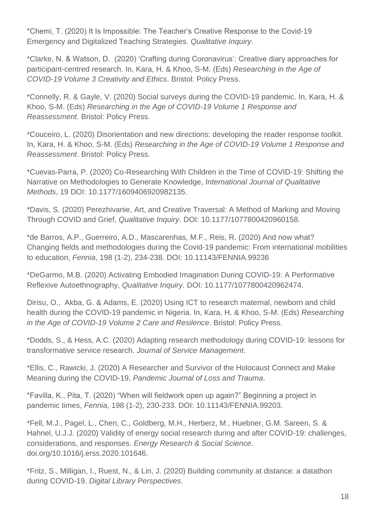\*Chemi, T. (2020) It Is Impossible: The Teacher's Creative Response to the Covid-19 Emergency and Digitalized Teaching Strategies. *Qualitative Inquiry*.

\*Clarke, N. & Watson, D. (2020) 'Crafting during Coronavirus': Creative diary approaches for participant-centred research. In, Kara, H. & Khoo, S-M. (Eds) *Researching in the Age of COVID-19 Volume 3 Creativity and Ethics*. Bristol: Policy Press.

\*Connelly, R. & Gayle, V. (2020) [Social surveys during the COVID-19 pandemic.](http://localhost:5001/html/toc-001.xhtml#tocbook-part-009) In, Kara, H. & Khoo, S-M. (Eds) *Researching in the Age of COVID-19 Volume 1 Response and Reassessment*. Bristol: Policy Press.

\*Couceiro, L. (2020) [Disorientation and new directions: developing the reader response toolkit.](http://localhost:5001/html/toc-001.xhtml#tocbook-part-005) In, Kara, H. & Khoo, S-M. (Eds) *Researching in the Age of COVID-19 Volume 1 Response and Reassessment*. Bristol: Policy Press.

\*Cuevas-Parra, P. (2020) Co-Researching With Children in the Time of COVID-19: Shifting the Narrative on Methodologies to Generate Knowledge, *International Journal of Qualitative Methods*, 19 DOI: 10.1177/1609406920982135.

\*Davis, S. (2020) Perezhivanie, Art, and Creative Traversal: A Method of Marking and Moving Through COVID and Grief, *Qualitative Inquiry*. DOI: 10.1177/1077800420960158.

\*de Barros, A.P., Guerreiro, A.D., Mascarenhas, M.F., Reis, R. (2020) And now what? Changing fields and methodologies during the Covid-19 pandemic: From international mobilities to education, *Fennia*, 198 (1-2), 234-238. DOI: 10.11143/FENNIA.99236

\*DeGarmo, M.B. (2020) Activating Embodied Imagination During COVID-19: A Performative Reflexive Autoethnography, *Qualitative Inquiry.* DOI: 10.1177/1077800420962474.

Dirisu, O., Akba, G. & Adams, E. (2020) Using ICT to research maternal, newborn and child health during the COVID-19 pandemic in Nigeria. In, Kara, H. & Khoo, S-M. (Eds) *Researching in the Age of COVID-19 Volume 2 Care and Resilence*. Bristol: Policy Press.

\*Dodds, S., & Hess, A.C. (2020) Adapting research methodology during COVID-19: lessons for transformative service research. *Journal of Service Management*.

\*Ellis, C., Rawicki, J. (2020) A Researcher and Survivor of the Holocaust Connect and Make Meaning during the COVID-19, *Pandemic Journal of Loss and Trauma*.

\*Favilla, K., Pita, T. (2020) "When will fieldwork open up again?" Beginning a project in pandemic times, *Fennia*, 198 (1-2), 230-233. DOI: 10.11143/FENNIA.99203.

\*Fell, M.J., Pagel, L., Chen, C., Goldberg, M.H., Herberz, M., Huebner, G.M. Sareen, S. & Hahnel, U.J.J. (2020) Validity of energy social research during and after COVID-19: challenges, considerations, and responses. *Energy Research & Social Science*. doi.org/10.1016/j.erss.2020.101646.

\*Fritz, S., Milligan, I., Ruest, N., & Lin, J. (2020) Building community at distance: a datathon during COVID-19. *Digital Library Perspectives*.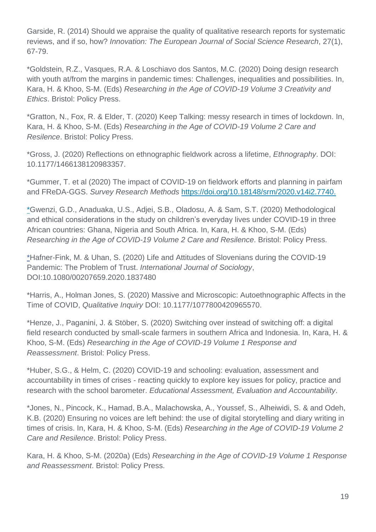Garside, R. (2014) Should we appraise the quality of qualitative research reports for systematic reviews, and if so, how? *Innovation: The European Journal of Social Science Research*, 27(1), 67-79.

\*Goldstein, R.Z., Vasques, R.A. & Loschiavo dos Santos, M.C. (2020) Doing design research with youth at/from the margins in pandemic times: Challenges, inequalities and possibilities. In, Kara, H. & Khoo, S-M. (Eds) *Researching in the Age of COVID-19 Volume 3 Creativity and Ethics*. Bristol: Policy Press.

\*Gratton, N., Fox, R. & Elder, T. (2020) Keep Talking: messy research in times of lockdown. In, Kara, H. & Khoo, S-M. (Eds) *Researching in the Age of COVID-19 Volume 2 Care and Resilence*. Bristol: Policy Press.

\*Gross, J. (2020) Reflections on ethnographic fieldwork across a lifetime, *Ethnography*. DOI: 10.1177/1466138120983357.

\*Gummer, T. et al (2020) The impact of COVID-19 on fieldwork efforts and planning in pairfam and FReDA-GGS. *Survey Research Methods* [https://doi.org/10.18148/srm/2020.v14i2.7740.](https://doi.org/10.18148/srm/2020.v14i2.7740)

\*Gwenzi, G.D., Anaduaka, U.S., Adjei, S.B., Oladosu, A. & Sam, S.T. (2020) Methodological and ethical considerations in the study on children's everyday lives under COVID-19 in three African countries: Ghana, Nigeria and South Africa. In, Kara, H. & Khoo, S-M. (Eds) *Researching in the Age of COVID-19 Volume 2 Care and Resilence*. Bristol: Policy Press.

\*Hafner-Fink, M. & Uhan, S. (2020) Life and Attitudes of Slovenians during the COVID-19 Pandemic: The Problem of Trust. *International Journal of Sociology*, DOI:10.1080/00207659.2020.1837480

\*Harris, A., Holman Jones, S. (2020) Massive and Microscopic: Autoethnographic Affects in the Time of COVID, *Qualitative Inquiry* DOI: 10.1177/1077800420965570.

\*Henze, J., Paganini, J. & Stöber, S. (2020) [Switching over instead of switching off: a digital](http://localhost:5001/html/toc-001.xhtml#tocbook-part-011)  [field research conducted by small-scale farmers in southern Africa and Indonesia.](http://localhost:5001/html/toc-001.xhtml#tocbook-part-011) In, Kara, H. & Khoo, S-M. (Eds) *Researching in the Age of COVID-19 Volume 1 Response and Reassessment*. Bristol: Policy Press.

\*Huber, S.G., & Helm, C. (2020) COVID-19 and schooling: evaluation, assessment and accountability in times of crises - reacting quickly to explore key issues for policy, practice and research with the school barometer. *Educational Assessment, Evaluation and Accountability*.

\*Jones, N., Pincock, K., Hamad, B.A., Malachowska, A., Youssef, S., Alheiwidi, S. & and Odeh, K.B. (2020) Ensuring no voices are left behind: the use of digital storytelling and diary writing in times of crisis. In, Kara, H. & Khoo, S-M. (Eds) *Researching in the Age of COVID-19 Volume 2 Care and Resilence*. Bristol: Policy Press.

Kara, H. & Khoo, S-M. (2020a) (Eds) *Researching in the Age of COVID-19 Volume 1 Response and Reassessment*. Bristol: Policy Press.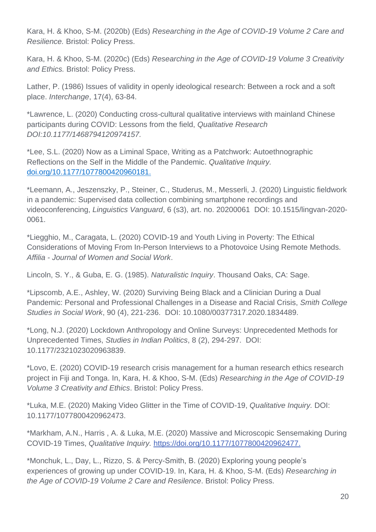Kara, H. & Khoo, S-M. (2020b) (Eds) *Researching in the Age of COVID-19 Volume 2 Care and Resilience.* Bristol: Policy Press.

Kara, H. & Khoo, S-M. (2020c) (Eds) *Researching in the Age of COVID-19 Volume 3 Creativity and Ethics.* Bristol: Policy Press.

Lather, P. (1986) Issues of validity in openly ideological research: Between a rock and a soft place. *Interchange*, 17(4), 63-84.

\*Lawrence, L. (2020) Conducting cross-cultural qualitative interviews with mainland Chinese participants during COVID: Lessons from the field, *Qualitative Research DOI:10.1177/1468794120974157.*

\*Lee, S.L. (2020) Now as a Liminal Space, Writing as a Patchwork: Autoethnographic Reflections on the Self in the Middle of the Pandemic. *Qualitative Inquiry.* [doi.org/10.1177/1077800420960181.](https://doi.org/10.1177%2F1077800420960181)

\*Leemann, A., Jeszenszky, P., Steiner, C., Studerus, M., Messerli, J. (2020) Linguistic fieldwork in a pandemic: Supervised data collection combining smartphone recordings and videoconferencing, *Linguistics Vanguard*, 6 (s3), art. no. 20200061 DOI: 10.1515/lingvan-2020- 0061.

\*Liegghio, M., Caragata, L. (2020) COVID-19 and Youth Living in Poverty: The Ethical Considerations of Moving From In-Person Interviews to a Photovoice Using Remote Methods. *Affilia - Journal of Women and Social Work*.

Lincoln, S. Y., & Guba, E. G. (1985). *Naturalistic Inquiry*. Thousand Oaks, CA: Sage.

\*Lipscomb, A.E., Ashley, W. (2020) Surviving Being Black and a Clinician During a Dual Pandemic: Personal and Professional Challenges in a Disease and Racial Crisis, *Smith College Studies in Social Work*, 90 (4), 221-236. DOI: 10.1080/00377317.2020.1834489.

\*Long, N.J. (2020) Lockdown Anthropology and Online Surveys: Unprecedented Methods for Unprecedented Times, *Studies in Indian Politics*, 8 (2), 294-297. DOI: 10.1177/2321023020963839.

\*Lovo, E. (2020) COVID-19 research crisis management for a human research ethics research project in Fiji and Tonga. In, Kara, H. & Khoo, S-M. (Eds) *Researching in the Age of COVID-19 Volume 3 Creativity and Ethics*. Bristol: Policy Press.

\*Luka, M.E. (2020) Making Video Glitter in the Time of COVID-19, *Qualitative Inquiry.* DOI: 10.1177/1077800420962473.

\*Markham, A.N., Harris , A. & Luka, M.E. (2020) Massive and Microscopic Sensemaking During COVID-19 Times, *Qualitative Inquiry.* [https://doi.org/10.1177/1077800420962477.](https://doi.org/10.1177/1077800420962477)

\*Monchuk, L., Day, L., Rizzo, S. & Percy-Smith, B. (2020) Exploring young people's experiences of growing up under COVID-19. In, Kara, H. & Khoo, S-M. (Eds) *Researching in the Age of COVID-19 Volume 2 Care and Resilence*. Bristol: Policy Press.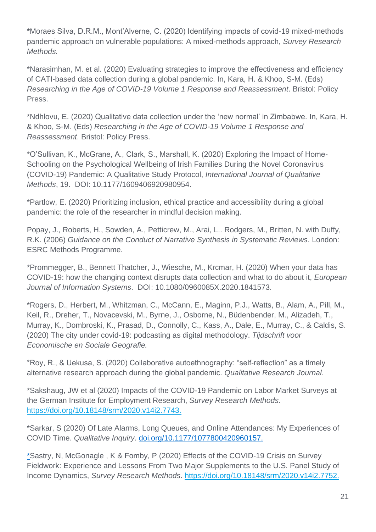**\***Moraes Silva, D.R.M., Mont'Alverne, C. (2020) Identifying impacts of covid-19 mixed-methods pandemic approach on vulnerable populations: A mixed-methods approach, *Survey Research Methods.*

\*Narasimhan, M. et al. (2020) Evaluating strategies to improve the effectiveness and efficiency of CATI-based data collection during a global pandemic. In, Kara, H. & Khoo, S-M. (Eds) *Researching in the Age of COVID-19 Volume 1 Response and Reassessment*. Bristol: Policy Press.

\*Ndhlovu, E. (2020) Qualitative data collection under the 'new normal' in Zimbabwe. In, Kara, H. & Khoo, S-M. (Eds) *Researching in the Age of COVID-19 Volume 1 Response and Reassessment*. Bristol: Policy Press.

\*O'Sullivan, K., McGrane, A., Clark, S., Marshall, K. (2020) Exploring the Impact of Home-Schooling on the Psychological Wellbeing of Irish Families During the Novel Coronavirus (COVID-19) Pandemic: A Qualitative Study Protocol, *International Journal of Qualitative Methods*, 19. DOI: 10.1177/1609406920980954.

\*Partlow, E. (2020) Prioritizing inclusion, ethical practice and accessibility during a global pandemic: the role of the researcher in mindful decision making.

Popay, J., Roberts, H., Sowden, A., Petticrew, M., Arai, L.. Rodgers, M., Britten, N. with Duffy, R.K. (2006) *Guidance on the Conduct of Narrative Synthesis in Systematic Reviews*. London: ESRC Methods Programme.

\*Prommegger, B., Bennett Thatcher, J., Wiesche, M., Krcmar, H. (2020) When your data has COVID-19: how the changing context disrupts data collection and what to do about it, *European Journal of Information Systems*. DOI: 10.1080/0960085X.2020.1841573.

\*Rogers, D., Herbert, M., Whitzman, C., McCann, E., Maginn, P.J., Watts, B., Alam, A., Pill, M., Keil, R., Dreher, T., Novacevski, M., Byrne, J., Osborne, N., Büdenbender, M., Alizadeh, T., Murray, K., Dombroski, K., Prasad, D., Connolly, C., Kass, A., Dale, E., Murray, C., & Caldis, S. (2020) The city under covid-19: podcasting as digital methodology. *Tijdschrift voor Economische en Sociale Geografie.*

\*Roy, R., & Uekusa, S. (2020) Collaborative autoethnography: "self-reflection" as a timely alternative research approach during the global pandemic. *Qualitative Research Journal*.

\*Sakshaug, JW et al (2020) Impacts of the COVID-19 Pandemic on Labor Market Surveys at the German Institute for Employment Research, *Survey Research Methods.* [https://doi.org/10.18148/srm/2020.v14i2.7743.](https://doi.org/10.18148/srm/2020.v14i2.7743)

\*Sarkar, S (2020) Of Late Alarms, Long Queues, and Online Attendances: My Experiences of COVID Time. *Qualitative Inquiry*. [doi.org/10.1177/1077800420960157.](https://doi.org/10.1177%2F1077800420960157)

\*Sastry, N, McGonagle , K & Fomby, P (2020) Effects of the COVID-19 Crisis on Survey Fieldwork: Experience and Lessons From Two Major Supplements to the U.S. Panel Study of Income Dynamics, *Survey Research Methods*. [https://doi.org/10.18148/srm/2020.v14i2.7752.](https://doi.org/10.18148/srm/2020.v14i2.7752)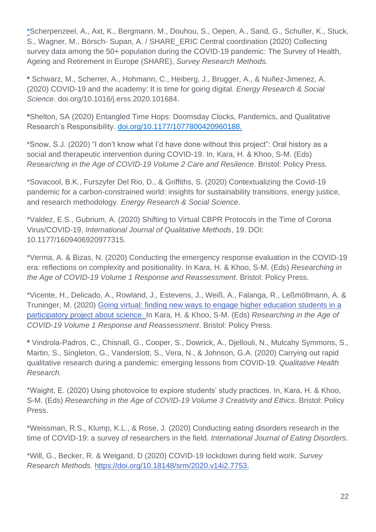\*Scherpenzeel, A., Axt, K., Bergmann, M., Douhou, S., Oepen, A., Sand, G., Schuller, K., Stuck, S., Wagner, M., Börsch- Supan, A. / SHARE\_ERIC Central coordination (2020) Collecting survey data among the 50+ population during the COVID-19 pandemic: The Survey of Health, Ageing and Retirement in Europe (SHARE), *Survey Research Methods.*

**\*** Schwarz, M., Scherrer, A., Hohmann, C., Heiberg, J., Brugger, A., & Nuñez-Jimenez, A. (2020) COVID-19 and the academy: It is time for going digital. *Energy Research & Social Science*. doi.org/10.1016/j.erss.2020.101684.

**\***Shelton, SA (2020) Entangled Time Hops: Doomsday Clocks, Pandemics, and Qualitative Research's Responsibility. [doi.org/10.1177/1077800420960188.](https://doi.org/10.1177%2F1077800420960188)

\*Snow, S.J. (2020) "I don't know what I'd have done without this project": Oral history as a social and therapeutic intervention during COVID-19. In, Kara, H. & Khoo, S-M. (Eds) *Researching in the Age of COVID-19 Volume 2 Care and Resilence*. Bristol: Policy Press.

\*Sovacool, B.K., Furszyfer Del Rio, D., & Griffiths, S. (2020) Contextualizing the Covid-19 pandemic for a carbon-constrained world: insights for sustainability transitions, energy justice, and research methodology. *Energy Research & Social Science*.

\*Valdez, E.S., Gubrium, A. (2020) Shifting to Virtual CBPR Protocols in the Time of Corona Virus/COVID-19, *International Journal of Qualitative Methods*, 19. DOI: 10.1177/1609406920977315.

\*Verma, A. & Bizas, N. (2020) [Conducting the emergency response evaluation in the COVID-19](http://localhost:5001/html/toc-001.xhtml#tocbook-part-014)  [era: reflections on complexity and positionality.](http://localhost:5001/html/toc-001.xhtml#tocbook-part-014) In Kara, H. & Khoo, S-M. (Eds) *Researching in the Age of COVID-19 Volume 1 Response and Reassessment*. Bristol: Policy Press.

\*Vicente, H., Delicado, A., Rowland, J., Estevens, J., Weiß, A., Falanga, R., Leßmöllmann, A. & Truninger, M. (2020) [Going virtual: finding new ways to engage higher education students in a](http://localhost:5001/html/toc-001.xhtml#tocbook-part-004)  [participatory project about science.](http://localhost:5001/html/toc-001.xhtml#tocbook-part-004) In Kara, H. & Khoo, S-M. (Eds) *Researching in the Age of COVID-19 Volume 1 Response and Reassessment*. Bristol: Policy Press.

**\*** Vindrola-Padros, C., Chisnall, G., Cooper, S., Dowrick, A., Djellouli, N., Mulcahy Symmons, S., Martin, S., Singleton, G., Vanderslott, S., Vera, N., & Johnson, G.A. (2020) Carrying out rapid qualitative research during a pandemic: emerging lessons from COVID-19. *Qualitative Health Research.*

\*Waight, E. (2020) Using photovoice to explore students' study practices. In, Kara, H. & Khoo, S-M. (Eds) *Researching in the Age of COVID-19 Volume 3 Creativity and Ethics*. Bristol: Policy Press.

\*Weissman, R.S., Klump, K.L., & Rose, J. (2020) Conducting eating disorders research in the time of COVID-19: a survey of researchers in the field. *International Journal of Eating Disorders*.

\*Will, G., Becker, R. & Weigand, D (2020) COVID-19 lockdown during field work. *Survey Research Methods.* [https://doi.org/10.18148/srm/2020.v14i2.7753.](https://doi.org/10.18148/srm/2020.v14i2.7753)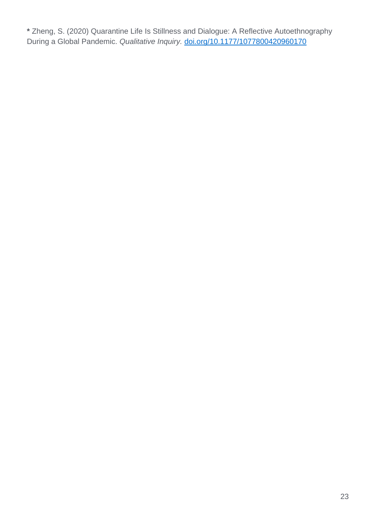**\*** Zheng, S. (2020) Quarantine Life Is Stillness and Dialogue: A Reflective Autoethnography During a Global Pandemic. *Qualitative Inquiry.* [doi.org/10.1177/1077800420960170](https://doi.org/10.1177%2F1077800420960170)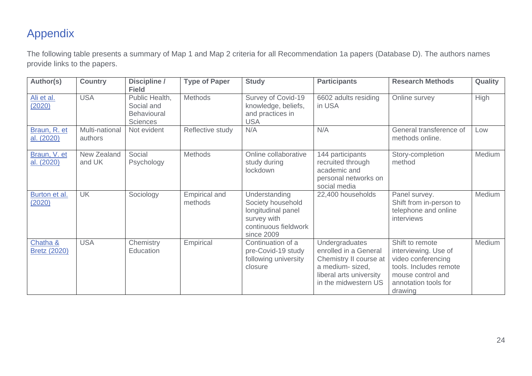# Appendix

The following table presents a summary of Map 1 and Map 2 criteria for all Recommendation 1a papers (Database D). The authors names provide links to the papers.

| Author(s)                       | <b>Country</b>            | Discipline /<br><b>Field</b>                                   | <b>Type of Paper</b>            | <b>Study</b>                                                                                                  | <b>Participants</b>                                                                                                                             | <b>Research Methods</b>                                                                                                                         | Quality |
|---------------------------------|---------------------------|----------------------------------------------------------------|---------------------------------|---------------------------------------------------------------------------------------------------------------|-------------------------------------------------------------------------------------------------------------------------------------------------|-------------------------------------------------------------------------------------------------------------------------------------------------|---------|
| Ali et al.<br>(2020)            | <b>USA</b>                | Public Health,<br>Social and<br>Behavioural<br><b>Sciences</b> | Methods                         | Survey of Covid-19<br>knowledge, beliefs,<br>and practices in<br><b>USA</b>                                   | 6602 adults residing<br>in USA                                                                                                                  | Online survey                                                                                                                                   | High    |
| Braun, R. et<br>al. (2020)      | Multi-national<br>authors | Not evident                                                    | Reflective study                | N/A                                                                                                           | N/A                                                                                                                                             | General transference of<br>methods online.                                                                                                      | Low     |
| Braun, V. et<br>al. (2020)      | New Zealand<br>and UK     | Social<br>Psychology                                           | Methods                         | Online collaborative<br>study during<br>lockdown                                                              | 144 participants<br>recruited through<br>academic and<br>personal networks on<br>social media                                                   | Story-completion<br>method                                                                                                                      | Medium  |
| Burton et al.<br>(2020)         | <b>UK</b>                 | Sociology                                                      | <b>Empirical and</b><br>methods | Understanding<br>Society household<br>longitudinal panel<br>survey with<br>continuous fieldwork<br>since 2009 | 22,400 households                                                                                                                               | Panel survey.<br>Shift from in-person to<br>telephone and online<br>interviews                                                                  | Medium  |
| Chatha &<br><b>Bretz (2020)</b> | <b>USA</b>                | Chemistry<br>Education                                         | Empirical                       | Continuation of a<br>pre-Covid-19 study<br>following university<br>closure                                    | <b>Undergraduates</b><br>enrolled in a General<br>Chemistry II course at<br>a medium- sized,<br>liberal arts university<br>in the midwestern US | Shift to remote<br>interviewing. Use of<br>video conferencing<br>tools. Includes remote<br>mouse control and<br>annotation tools for<br>drawing | Medium  |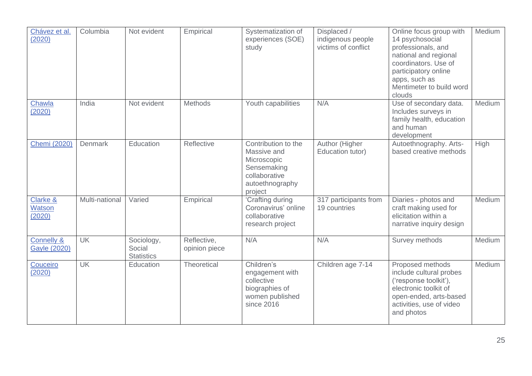| Chávez et al.<br>(2020)               | Columbia       | Not evident                               | Empirical                    | Systematization of<br>experiences (SOE)<br>study                                                                | Displaced /<br>indigenous people<br>victims of conflict | Online focus group with<br>14 psychosocial<br>professionals, and<br>national and regional<br>coordinators. Use of<br>participatory online<br>apps, such as<br>Mentimeter to build word<br>clouds | Medium |
|---------------------------------------|----------------|-------------------------------------------|------------------------------|-----------------------------------------------------------------------------------------------------------------|---------------------------------------------------------|--------------------------------------------------------------------------------------------------------------------------------------------------------------------------------------------------|--------|
| Chawla<br>(2020)                      | India          | Not evident                               | Methods                      | Youth capabilities                                                                                              | N/A                                                     | Use of secondary data.<br>Includes surveys in<br>family health, education<br>and human<br>development                                                                                            | Medium |
| <b>Chemi (2020)</b>                   | <b>Denmark</b> | Education                                 | Reflective                   | Contribution to the<br>Massive and<br>Microscopic<br>Sensemaking<br>collaborative<br>autoethnography<br>project | Author (Higher<br>Education tutor)                      | Autoethnography. Arts-<br>based creative methods                                                                                                                                                 | High   |
| Clarke &<br>Watson<br>(2020)          | Multi-national | Varied                                    | Empirical                    | 'Crafting during<br>Coronavirus' online<br>collaborative<br>research project                                    | 317 participants from<br>19 countries                   | Diaries - photos and<br>craft making used for<br>elicitation within a<br>narrative inquiry design                                                                                                | Medium |
| <b>Connelly &amp;</b><br>Gayle (2020) | <b>UK</b>      | Sociology,<br>Social<br><b>Statistics</b> | Reflective,<br>opinion piece | N/A                                                                                                             | N/A                                                     | Survey methods                                                                                                                                                                                   | Medium |
| Couceiro<br>(2020)                    | <b>UK</b>      | Education                                 | <b>Theoretical</b>           | Children's<br>engagement with<br>collective<br>biographies of<br>women published<br>since 2016                  | Children age 7-14                                       | Proposed methods<br>include cultural probes<br>('response toolkit'),<br>electronic toolkit of<br>open-ended, arts-based<br>activities, use of video<br>and photos                                | Medium |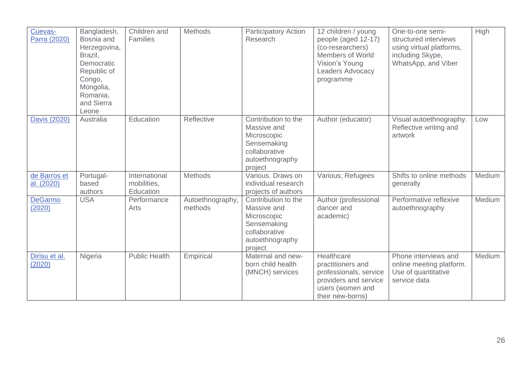| Cuevas-<br>Parra (2020)    | Bangladesh,<br>Bosnia and<br>Herzegovina,<br>Brazil,<br>Democratic<br>Republic of<br>Congo,<br>Mongolia,<br>Romania,<br>and Sierra<br>Leone | Children and<br>Families                  | <b>Methods</b>              | <b>Participatory Action</b><br>Research                                                                         | 12 children / young<br>people (aged 12-17)<br>(co-researchers)<br>Members of World<br>Vision's Young<br>Leaders Advocacy<br>programme | One-to-one semi-<br>structured interviews<br>using virtual platforms,<br>including Skype,<br>WhatsApp, and Viber | High          |
|----------------------------|---------------------------------------------------------------------------------------------------------------------------------------------|-------------------------------------------|-----------------------------|-----------------------------------------------------------------------------------------------------------------|---------------------------------------------------------------------------------------------------------------------------------------|------------------------------------------------------------------------------------------------------------------|---------------|
| Davis (2020)               | Australia                                                                                                                                   | Education                                 | Reflective                  | Contribution to the<br>Massive and<br>Microscopic<br>Sensemaking<br>collaborative<br>autoethnography<br>project | Author (educator)                                                                                                                     | Visual autoethnography.<br>Reflective writing and<br>artwork                                                     | Low           |
| de Barros et<br>al. (2020) | Portugal-<br>based<br>authors                                                                                                               | International<br>mobilities.<br>Education | <b>Methods</b>              | Various. Draws on<br>individual research<br>projects of authors                                                 | Various; Refugees                                                                                                                     | Shifts to online methods<br>generally                                                                            | Medium        |
| <b>DeGarmo</b><br>(2020)   | <b>USA</b>                                                                                                                                  | Performance<br>Arts                       | Autoethnography,<br>methods | Contribution to the<br>Massive and<br>Microscopic<br>Sensemaking<br>collaborative<br>autoethnography<br>project | Author (professional<br>dancer and<br>academic)                                                                                       | Performative reflexive<br>autoethnography                                                                        | <b>Medium</b> |
| Dirisu et al.<br>(2020)    | Nigeria                                                                                                                                     | <b>Public Health</b>                      | Empirical                   | Maternal and new-<br>born child health<br>(MNCH) services                                                       | Healthcare<br>practitioners and<br>professionals, service<br>providers and service<br>users (women and<br>their new-borns)            | Phone interviews and<br>online meeting platform.<br>Use of quantitative<br>service data                          | Medium        |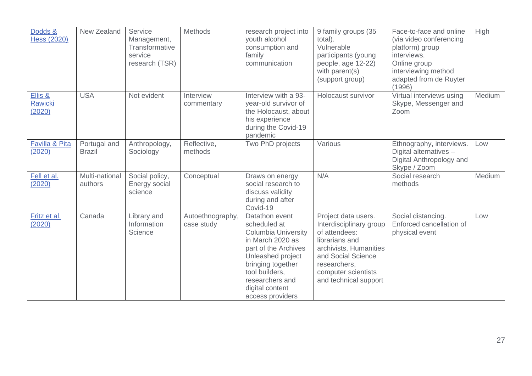| Dodds &<br><b>Hess (2020)</b>       | New Zealand                   | Service<br>Management,<br>Transformative<br>service<br>research (TSR) | <b>Methods</b>                 | research project into<br>youth alcohol<br>consumption and<br>family<br>communication                                                                                                                                           | 9 family groups (35<br>total).<br>Vulnerable<br>participants (young<br>people, age 12-22)<br>with parent(s)<br>(support group)                                                                    | Face-to-face and online<br>(via video conferencing<br>platform) group<br>interviews.<br>Online group<br>interviewing method<br>adapted from de Ruyter<br>(1996) | High   |
|-------------------------------------|-------------------------------|-----------------------------------------------------------------------|--------------------------------|--------------------------------------------------------------------------------------------------------------------------------------------------------------------------------------------------------------------------------|---------------------------------------------------------------------------------------------------------------------------------------------------------------------------------------------------|-----------------------------------------------------------------------------------------------------------------------------------------------------------------|--------|
| Ellis &<br><b>Rawicki</b><br>(2020) | <b>USA</b>                    | Not evident                                                           | Interview<br>commentary        | Interview with a 93-<br>year-old survivor of<br>the Holocaust, about<br>his experience<br>during the Covid-19<br>pandemic                                                                                                      | Holocaust survivor                                                                                                                                                                                | Virtual interviews using<br>Skype, Messenger and<br>Zoom                                                                                                        | Medium |
| Favilla & Pita<br>(2020)            | Portugal and<br><b>Brazil</b> | Anthropology,<br>Sociology                                            | Reflective,<br>methods         | Two PhD projects                                                                                                                                                                                                               | Various                                                                                                                                                                                           | Ethnography, interviews.<br>Digital alternatives -<br>Digital Anthropology and<br>Skype / Zoom                                                                  | Low    |
| Fell et al.<br>(2020)               | Multi-national<br>authors     | Social policy,<br>Energy social<br>science                            | Conceptual                     | Draws on energy<br>social research to<br>discuss validity<br>during and after<br>Covid-19                                                                                                                                      | N/A                                                                                                                                                                                               | Social research<br>methods                                                                                                                                      | Medium |
| Fritz et al.<br>(2020)              | Canada                        | Library and<br>Information<br>Science                                 | Autoethnography,<br>case study | Datathon event<br>scheduled at<br><b>Columbia University</b><br>in March 2020 as<br>part of the Archives<br>Unleashed project<br>bringing together<br>tool builders,<br>researchers and<br>digital content<br>access providers | Project data users.<br>Interdisciplinary group<br>of attendees:<br>librarians and<br>archivists, Humanities<br>and Social Science<br>researchers,<br>computer scientists<br>and technical support | Social distancing.<br>Enforced cancellation of<br>physical event                                                                                                | Low    |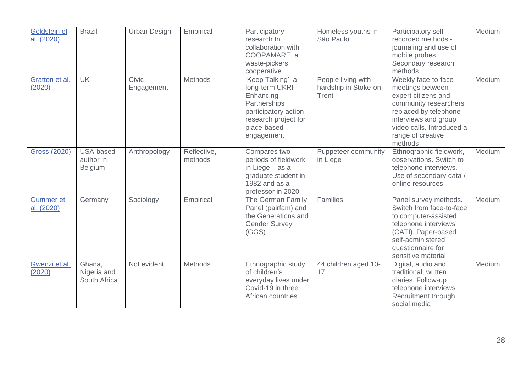| Goldstein et<br>al. (2020)         | <b>Brazil</b>                            | <b>Urban Design</b> | Empirical              | Participatory<br>research In<br>collaboration with<br>COOPAMARE, a<br>waste-pickers<br>cooperative                                            | Homeless youths in<br>São Paulo                      | Participatory self-<br>recorded methods -<br>journaling and use of<br>mobile probes.<br>Secondary research<br>methods                                                                                 | Medium        |
|------------------------------------|------------------------------------------|---------------------|------------------------|-----------------------------------------------------------------------------------------------------------------------------------------------|------------------------------------------------------|-------------------------------------------------------------------------------------------------------------------------------------------------------------------------------------------------------|---------------|
| Gratton et al.<br>(2020)           | <b>UK</b>                                | Civic<br>Engagement | Methods                | 'Keep Talking', a<br>long-term UKRI<br>Enhancing<br>Partnerships<br>participatory action<br>research project for<br>place-based<br>engagement | People living with<br>hardship in Stoke-on-<br>Trent | Weekly face-to-face<br>meetings between<br>expert citizens and<br>community researchers<br>replaced by telephone<br>interviews and group<br>video calls. Introduced a<br>range of creative<br>methods | Medium        |
| <b>Gross (2020)</b>                | USA-based<br>author in<br><b>Belgium</b> | Anthropology        | Reflective,<br>methods | Compares two<br>periods of fieldwork<br>in Liege - as a<br>graduate student in<br>1982 and as a<br>professor in 2020                          | Puppeteer community<br>in Liege                      | Ethnographic fieldwork,<br>observations. Switch to<br>telephone interviews.<br>Use of secondary data /<br>online resources                                                                            | <b>Medium</b> |
| Gummer <sub>et</sub><br>al. (2020) | Germany                                  | Sociology           | Empirical              | The German Family<br>Panel (pairfam) and<br>the Generations and<br><b>Gender Survey</b><br>(GGS)                                              | Families                                             | Panel survey methods.<br>Switch from face-to-face<br>to computer-assisted<br>telephone interviews<br>(CATI). Paper-based<br>self-administered<br>questionnaire for<br>sensitive material              | Medium        |
| Gwenzi et al.<br>(2020)            | Ghana,<br>Nigeria and<br>South Africa    | Not evident         | Methods                | Ethnographic study<br>of children's<br>everyday lives under<br>Covid-19 in three<br>African countries                                         | 44 children aged 10-<br>17                           | Digital, audio and<br>traditional, written<br>diaries. Follow-up<br>telephone interviews.<br>Recruitment through<br>social media                                                                      | Medium        |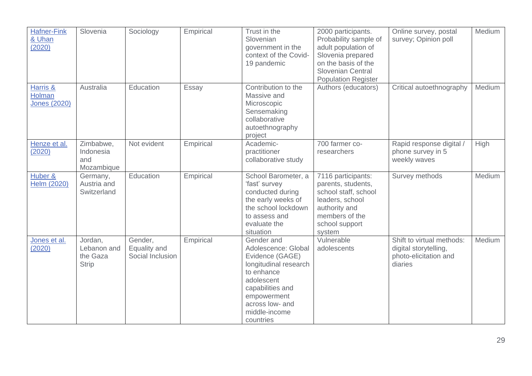| <b>Hafner-Fink</b><br>& Uhan<br>(2020)    | Slovenia                                           | Sociology                                   | Empirical | Trust in the<br>Slovenian<br>government in the<br>context of the Covid-<br>19 pandemic                                                                                                        | 2000 participants.<br>Probability sample of<br>adult population of<br>Slovenia prepared<br>on the basis of the<br><b>Slovenian Central</b><br><b>Population Register</b> | Online survey, postal<br>survey; Opinion poll                                          | Medium        |
|-------------------------------------------|----------------------------------------------------|---------------------------------------------|-----------|-----------------------------------------------------------------------------------------------------------------------------------------------------------------------------------------------|--------------------------------------------------------------------------------------------------------------------------------------------------------------------------|----------------------------------------------------------------------------------------|---------------|
| Harris &<br>Holman<br><b>Jones (2020)</b> | Australia                                          | Education                                   | Essay     | Contribution to the<br>Massive and<br>Microscopic<br>Sensemaking<br>collaborative<br>autoethnography<br>project                                                                               | Authors (educators)                                                                                                                                                      | Critical autoethnography                                                               | Medium        |
| Henze et al.<br>(2020)                    | Zimbabwe,<br>Indonesia<br>and<br>Mozambique        | Not evident                                 | Empirical | Academic-<br>practitioner<br>collaborative study                                                                                                                                              | 700 farmer co-<br>researchers                                                                                                                                            | Rapid response digital /<br>phone survey in 5<br>weekly waves                          | High          |
| Huber &<br>Helm (2020)                    | Germany,<br>Austria and<br>Switzerland             | Education                                   | Empirical | School Barometer, a<br>'fast' survey<br>conducted during<br>the early weeks of<br>the school lockdown<br>to assess and<br>evaluate the<br>situation                                           | 7116 participants:<br>parents, students,<br>school staff, school<br>leaders, school<br>authority and<br>members of the<br>school support<br>system                       | Survey methods                                                                         | <b>Medium</b> |
| Jones et al.<br>(2020)                    | Jordan,<br>Lebanon and<br>the Gaza<br><b>Strip</b> | Gender,<br>Equality and<br>Social Inclusion | Empirical | Gender and<br>Adolescence: Global<br>Evidence (GAGE)<br>longitudinal research<br>to enhance<br>adolescent<br>capabilities and<br>empowerment<br>across low- and<br>middle-income<br>countries | Vulnerable<br>adolescents                                                                                                                                                | Shift to virtual methods:<br>digital storytelling,<br>photo-elicitation and<br>diaries | Medium        |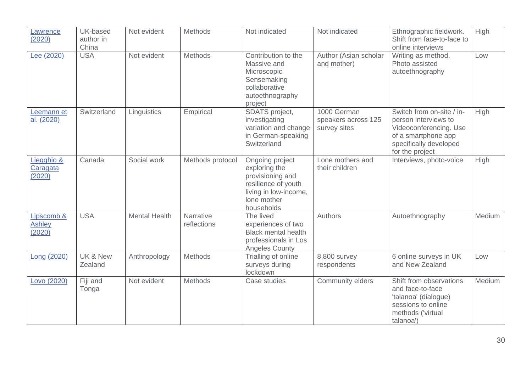| Lawrence<br>(2020)                    | UK-based<br>author in<br>China | Not evident          | Methods                  | Not indicated                                                                                                                     | Not indicated                                      | Ethnographic fieldwork.<br>Shift from face-to-face to<br>online interviews                                                                      | High        |
|---------------------------------------|--------------------------------|----------------------|--------------------------|-----------------------------------------------------------------------------------------------------------------------------------|----------------------------------------------------|-------------------------------------------------------------------------------------------------------------------------------------------------|-------------|
| Lee (2020)                            | <b>USA</b>                     | Not evident          | <b>Methods</b>           | Contribution to the<br>Massive and<br>Microscopic<br>Sensemaking<br>collaborative<br>autoethnography<br>project                   | Author (Asian scholar<br>and mother)               | Writing as method.<br>Photo assisted<br>autoethnography                                                                                         | Low         |
| Leemann et<br>al. (2020)              | Switzerland                    | Linguistics          | Empirical                | SDATS project,<br>investigating<br>variation and change<br>in German-speaking<br>Switzerland                                      | 1000 German<br>speakers across 125<br>survey sites | Switch from on-site / in-<br>person interviews to<br>Videoconferencing. Use<br>of a smartphone app<br>specifically developed<br>for the project | High        |
| Liegghio &<br>Caragata<br>(2020)      | Canada                         | Social work          | Methods protocol         | Ongoing project<br>exploring the<br>provisioning and<br>resilience of youth<br>living in low-income,<br>lone mother<br>households | Lone mothers and<br>their children                 | Interviews, photo-voice                                                                                                                         | <b>High</b> |
| Lipscomb &<br><b>Ashley</b><br>(2020) | <b>USA</b>                     | <b>Mental Health</b> | Narrative<br>reflections | The lived<br>experiences of two<br><b>Black mental health</b><br>professionals in Los<br><b>Angeles County</b>                    | <b>Authors</b>                                     | Autoethnography                                                                                                                                 | Medium      |
| Long (2020)                           | UK & New<br>Zealand            | Anthropology         | <b>Methods</b>           | Trialling of online<br>surveys during<br>lockdown                                                                                 | 8,800 survey<br>respondents                        | 6 online surveys in UK<br>and New Zealand                                                                                                       | Low         |
| Lovo (2020)                           | Fiji and<br>Tonga              | Not evident          | <b>Methods</b>           | Case studies                                                                                                                      | Community elders                                   | Shift from observations<br>and face-to-face<br>'talanoa' (dialogue)<br>sessions to online<br>methods ('virtual<br>talanoa')                     | Medium      |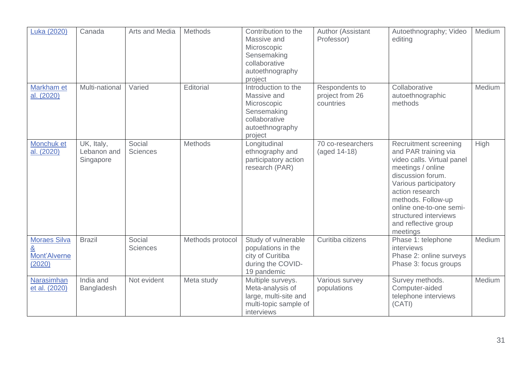| Luka (2020)                                        | Canada                                 | <b>Arts and Media</b>     | Methods          | Contribution to the<br>Massive and<br>Microscopic<br>Sensemaking<br>collaborative<br>autoethnography<br>project | Author (Assistant<br>Professor)                | Autoethnography; Video<br>editing                                                                                                                                                                                                                                               | Medium |
|----------------------------------------------------|----------------------------------------|---------------------------|------------------|-----------------------------------------------------------------------------------------------------------------|------------------------------------------------|---------------------------------------------------------------------------------------------------------------------------------------------------------------------------------------------------------------------------------------------------------------------------------|--------|
| Markham et<br>al. (2020)                           | Multi-national                         | Varied                    | Editorial        | Introduction to the<br>Massive and<br>Microscopic<br>Sensemaking<br>collaborative<br>autoethnography<br>project | Respondents to<br>project from 26<br>countries | Collaborative<br>autoethnographic<br>methods                                                                                                                                                                                                                                    | Medium |
| Monchuk et<br>al. (2020)                           | UK, Italy,<br>Lebanon and<br>Singapore | Social<br><b>Sciences</b> | <b>Methods</b>   | Longitudinal<br>ethnography and<br>participatory action<br>research (PAR)                                       | 70 co-researchers<br>(aged 14-18)              | Recruitment screening<br>and PAR training via<br>video calls. Virtual panel<br>meetings / online<br>discussion forum.<br>Various participatory<br>action research<br>methods. Follow-up<br>online one-to-one semi-<br>structured interviews<br>and reflective group<br>meetings | High   |
| <b>Moraes Silva</b><br>&<br>Mont'Alverne<br>(2020) | <b>Brazil</b>                          | Social<br><b>Sciences</b> | Methods protocol | Study of vulnerable<br>populations in the<br>city of Curitiba<br>during the COVID-<br>19 pandemic               | Curitiba citizens                              | Phase 1: telephone<br>interviews<br>Phase 2: online surveys<br>Phase 3: focus groups                                                                                                                                                                                            | Medium |
| Narasimhan<br>et al. (2020)                        | India and<br>Bangladesh                | Not evident               | Meta study       | Multiple surveys.<br>Meta-analysis of<br>large, multi-site and<br>multi-topic sample of<br>interviews           | Various survey<br>populations                  | Survey methods.<br>Computer-aided<br>telephone interviews<br>(CATI)                                                                                                                                                                                                             | Medium |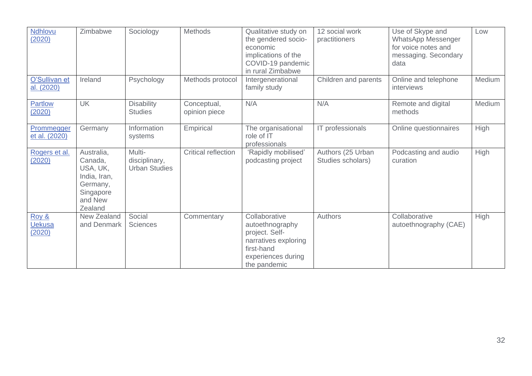| Ndhlovu<br>(2020)                | Zimbabwe                                                                                         | Sociology                                       | Methods                      | Qualitative study on<br>the gendered socio-<br>economic<br>implications of the<br>COVID-19 pandemic<br>in rural Zimbabwe       | 12 social work<br>practitioners        | Use of Skype and<br>WhatsApp Messenger<br>for voice notes and<br>messaging. Secondary<br>data | Low    |
|----------------------------------|--------------------------------------------------------------------------------------------------|-------------------------------------------------|------------------------------|--------------------------------------------------------------------------------------------------------------------------------|----------------------------------------|-----------------------------------------------------------------------------------------------|--------|
| O'Sullivan et<br>al. (2020)      | Ireland                                                                                          | Psychology                                      | Methods protocol             | Intergenerational<br>family study                                                                                              | Children and parents                   | Online and telephone<br>interviews                                                            | Medium |
| Partlow<br><u>(2020)</u>         | <b>UK</b>                                                                                        | <b>Disability</b><br><b>Studies</b>             | Conceptual,<br>opinion piece | N/A                                                                                                                            | N/A                                    | Remote and digital<br>methods                                                                 | Medium |
| Prommegger<br>et al. (2020)      | Germany                                                                                          | Information<br>systems                          | Empirical                    | The organisational<br>role of IT<br>professionals                                                                              | IT professionals                       | Online questionnaires                                                                         | High   |
| Rogers et al.<br>(2020)          | Australia,<br>Canada,<br>USA, UK,<br>India, Iran,<br>Germany,<br>Singapore<br>and New<br>Zealand | Multi-<br>disciplinary,<br><b>Urban Studies</b> | Critical reflection          | 'Rapidly mobilised'<br>podcasting project                                                                                      | Authors (25 Urban<br>Studies scholars) | Podcasting and audio<br>curation                                                              | High   |
| Roy &<br><b>Uekusa</b><br>(2020) | New Zealand<br>and Denmark                                                                       | Social<br><b>Sciences</b>                       | Commentary                   | Collaborative<br>autoethnography<br>project. Self-<br>narratives exploring<br>first-hand<br>experiences during<br>the pandemic | Authors                                | Collaborative<br>autoethnography (CAE)                                                        | High   |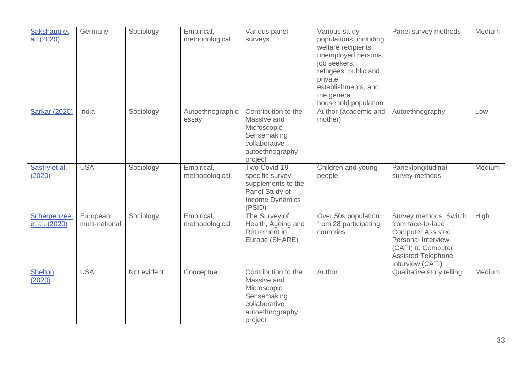| Sakshaug et<br>al. (2020)     | Germany                    | Sociology   | Empirical,<br>methodological | Various panel<br>surveys                                                                                        | Various study<br>populations, including<br>welfare recipients,<br>unemployed persons,<br>job seekers,<br>refugees, public and<br>private<br>establishments, and<br>the general<br>household population | Panel survey methods                                                                                                                                                 | Medium |
|-------------------------------|----------------------------|-------------|------------------------------|-----------------------------------------------------------------------------------------------------------------|--------------------------------------------------------------------------------------------------------------------------------------------------------------------------------------------------------|----------------------------------------------------------------------------------------------------------------------------------------------------------------------|--------|
| <b>Sarkar (2020)</b>          | India                      | Sociology   | Autoethnographic<br>essay    | Contribution to the<br>Massive and<br>Microscopic<br>Sensemaking<br>collaborative<br>autoethnography<br>project | Author (academic and<br>mother)                                                                                                                                                                        | Autoethnography                                                                                                                                                      | Low    |
| Sastry et al.<br>(2020)       | <b>USA</b>                 | Sociology   | Empirical,<br>methodological | Two Covid-19-<br>specific survey<br>supplements to the<br>Panel Study of<br><b>Income Dynamics</b><br>(PSID)    | Children and young<br>people                                                                                                                                                                           | Panel/longitudinal<br>survey methods                                                                                                                                 | Medium |
| Scherpenzeel<br>et al. (2020) | European<br>multi-national | Sociology   | Empirical,<br>methodological | The Survey of<br>Health, Ageing and<br>Retirement in<br>Europe (SHARE)                                          | Over 50s population<br>from 28 participating<br>countries                                                                                                                                              | Survey methods. Switch<br>from face-to-face<br><b>Computer Assisted</b><br>Personal Interview<br>(CAPI) to Computer<br><b>Assisted Telephone</b><br>Interview (CATI) | High   |
| <b>Shelton</b><br>(2020)      | <b>USA</b>                 | Not evident | Conceptual                   | Contribution to the<br>Massive and<br>Microscopic<br>Sensemaking<br>collaborative<br>autoethnography<br>project | Author                                                                                                                                                                                                 | Qualitative story telling                                                                                                                                            | Medium |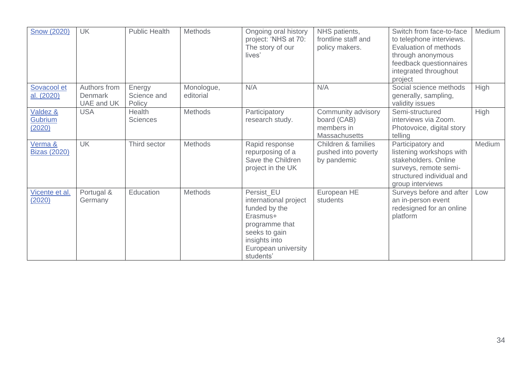| <b>Snow (2020)</b>                        | <b>UK</b>                                    | <b>Public Health</b>            | Methods                 | Ongoing oral history<br>project: 'NHS at 70:<br>The story of our<br>lives'                                                                               | NHS patients,<br>frontline staff and<br>policy makers.                  | Switch from face-to-face<br>to telephone interviews.<br>Evaluation of methods<br>through anonymous<br>feedback questionnaires<br>integrated throughout<br>project | Medium |
|-------------------------------------------|----------------------------------------------|---------------------------------|-------------------------|----------------------------------------------------------------------------------------------------------------------------------------------------------|-------------------------------------------------------------------------|-------------------------------------------------------------------------------------------------------------------------------------------------------------------|--------|
| Sovacool et<br>al. (2020)                 | Authors from<br><b>Denmark</b><br>UAE and UK | Energy<br>Science and<br>Policy | Monologue,<br>editorial | N/A                                                                                                                                                      | N/A                                                                     | Social science methods<br>generally, sampling,<br>validity issues                                                                                                 | High   |
| Valdez &<br>Gubrium<br>(2020)             | <b>USA</b>                                   | Health<br><b>Sciences</b>       | Methods                 | Participatory<br>research study.                                                                                                                         | Community advisory<br>board (CAB)<br>members in<br><b>Massachusetts</b> | Semi-structured<br>interviews via Zoom.<br>Photovoice, digital story<br>telling                                                                                   | High   |
| <u>Verma &amp;</u><br><b>Bizas (2020)</b> | <b>UK</b>                                    | Third sector                    | <b>Methods</b>          | Rapid response<br>repurposing of a<br>Save the Children<br>project in the UK                                                                             | Children & families<br>pushed into poverty<br>by pandemic               | Participatory and<br>listening workshops with<br>stakeholders. Online<br>surveys, remote semi-<br>structured individual and<br>group interviews                   | Medium |
| Vicente et al.<br>(2020)                  | Portugal &<br>Germany                        | Education                       | Methods                 | Persist EU<br>international project<br>funded by the<br>Erasmus+<br>programme that<br>seeks to gain<br>insights into<br>European university<br>students' | European HE<br>students                                                 | Surveys before and after<br>an in-person event<br>redesigned for an online<br>platform                                                                            | Low    |